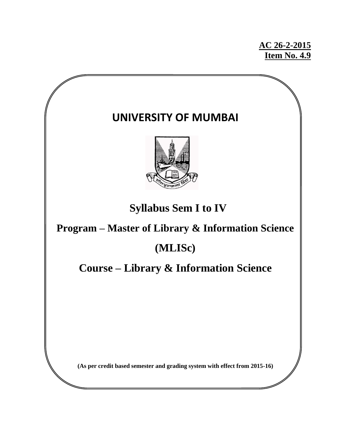**AC 26-2-2015 Item No. 4.9**

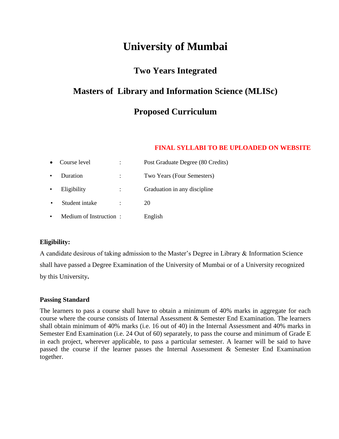# **University of Mumbai**

# **Two Years Integrated**

# **Masters of Library and Information Science (MLISc)**

# **Proposed Curriculum**

# **FINAL SYLLABI TO BE UPLOADED ON WEBSITE**

|           | Course level           | Post Graduate Degree (80 Credits) |
|-----------|------------------------|-----------------------------------|
| ٠         | Duration               | Two Years (Four Semesters)        |
| $\bullet$ | Eligibility            | Graduation in any discipline      |
| $\bullet$ | Student intake         | 20                                |
| ٠         | Medium of Instruction: | English                           |

# **Eligibility:**

A candidate desirous of taking admission to the Master's Degree in Library & Information Science shall have passed a Degree Examination of the University of Mumbai or of a University recognized by this University**.**

# **Passing Standard**

The learners to pass a course shall have to obtain a minimum of 40% marks in aggregate for each course where the course consists of Internal Assessment & Semester End Examination. The learners shall obtain minimum of 40% marks (i.e. 16 out of 40) in the Internal Assessment and 40% marks in Semester End Examination (i.e. 24 Out of 60) separately, to pass the course and minimum of Grade E in each project, wherever applicable, to pass a particular semester. A learner will be said to have passed the course if the learner passes the Internal Assessment & Semester End Examination together.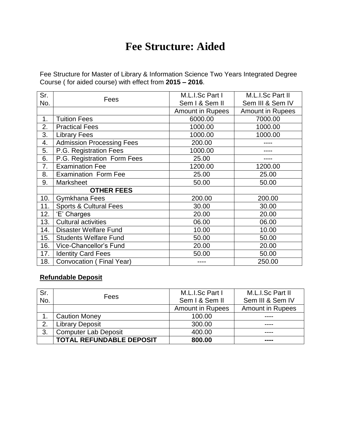# **Fee Structure: Aided**

Fee Structure for Master of Library & Information Science Two Years Integrated Degree Course ( for aided course) with effect from **2015 – 2016**.

| Sr.               |                                   | M.L.I.Sc Part I  | M.L.I.Sc Part II        |  |
|-------------------|-----------------------------------|------------------|-------------------------|--|
| No.               | Fees                              | Sem I & Sem II   | Sem III & Sem IV        |  |
|                   |                                   | Amount in Rupees | <b>Amount in Rupees</b> |  |
| 1.                | <b>Tuition Fees</b>               | 6000.00          | 7000.00                 |  |
| 2.                | <b>Practical Fees</b>             | 1000.00          | 1000.00                 |  |
| 3.                | <b>Library Fees</b>               | 1000.00          | 1000.00                 |  |
| 4.                | <b>Admission Processing Fees</b>  | 200.00           |                         |  |
| 5.                | P.G. Registration Fees            | 1000.00          |                         |  |
| 6.                | P.G. Registration Form Fees       | 25.00            |                         |  |
| 7.                | <b>Examination Fee</b>            | 1200.00          | 1200.00                 |  |
| 8.                | <b>Examination Form Fee</b>       | 25.00            | 25.00                   |  |
| 9.                | <b>Marksheet</b>                  | 50.00            | 50.00                   |  |
| <b>OTHER FEES</b> |                                   |                  |                         |  |
| 10.               | Gymkhana Fees                     | 200.00           | 200.00                  |  |
| 11.               | <b>Sports &amp; Cultural Fees</b> | 30.00            | 30.00                   |  |
| 12.               | 'E' Charges                       | 20.00            | 20.00                   |  |
| 13.               | Cultural activities               | 06.00            | 06.00                   |  |
| 14.               | <b>Disaster Welfare Fund</b>      | 10.00            | 10.00                   |  |
| 15.               | <b>Students Welfare Fund</b>      | 50.00            | 50.00                   |  |
| 16.               | Vice-Chancellor's Fund            | 20.00            | 20.00                   |  |
| 17.               | <b>Identity Card Fees</b>         | 50.00            | 50.00                   |  |
| 18.               | Convocation (Final Year)          |                  | 250.00                  |  |

# **Refundable Deposit**

| Sr. | Fees                            | M.L.I.Sc Part I         | M.L.I.Sc Part II        |
|-----|---------------------------------|-------------------------|-------------------------|
| No. |                                 | Sem I & Sem II          | Sem III & Sem IV        |
|     |                                 | <b>Amount in Rupees</b> | <b>Amount in Rupees</b> |
|     | <b>Caution Money</b>            | 100.00                  |                         |
| っ   | <b>Library Deposit</b>          | 300.00                  |                         |
| 3.  | <b>Computer Lab Deposit</b>     | 400.00                  |                         |
|     | <b>TOTAL REFUNDABLE DEPOSIT</b> | 800.00                  | ----                    |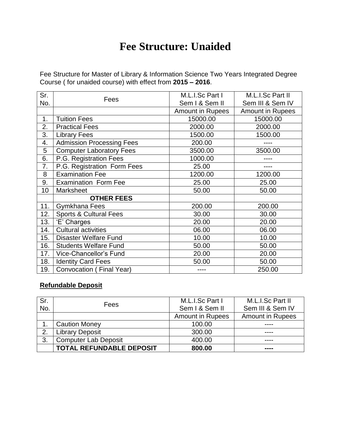# **Fee Structure: Unaided**

Fee Structure for Master of Library & Information Science Two Years Integrated Degree Course ( for unaided course) with effect from **2015 – 2016**.

| Sr.               |                                   | M.L.I.Sc Part I         | M.L.I.Sc Part II        |  |
|-------------------|-----------------------------------|-------------------------|-------------------------|--|
| No.               | Fees                              | Sem I & Sem II          | Sem III & Sem IV        |  |
|                   |                                   | <b>Amount in Rupees</b> | <b>Amount in Rupees</b> |  |
| 1.                | <b>Tuition Fees</b>               | 15000.00                | 15000.00                |  |
| 2.                | <b>Practical Fees</b>             | 2000.00                 | 2000.00                 |  |
| 3.                | <b>Library Fees</b>               | 1500.00                 | 1500.00                 |  |
| 4.                | <b>Admission Processing Fees</b>  | 200.00                  |                         |  |
| 5                 | <b>Computer Laboratory Fees</b>   | 3500.00                 | 3500.00                 |  |
| 6.                | P.G. Registration Fees            | 1000.00                 |                         |  |
| 7.                | P.G. Registration Form Fees       | 25.00                   |                         |  |
| 8                 | <b>Examination Fee</b>            | 1200.00                 | 1200.00                 |  |
| 9.                | <b>Examination Form Fee</b>       | 25.00                   | 25.00                   |  |
| 10                | <b>Marksheet</b>                  | 50.00                   | 50.00                   |  |
| <b>OTHER FEES</b> |                                   |                         |                         |  |
| 11.               | <b>Gymkhana Fees</b>              | 200.00                  | 200.00                  |  |
| 12.               | <b>Sports &amp; Cultural Fees</b> | 30.00                   | 30.00                   |  |
| 13.               | 'E' Charges                       | 20.00                   | 20.00                   |  |
| 14.               | <b>Cultural activities</b>        | 06.00                   | 06.00                   |  |
| 15.               | Disaster Welfare Fund             | 10.00                   | 10.00                   |  |
| 16.               | <b>Students Welfare Fund</b>      | 50.00                   | 50.00                   |  |
| 17.               | Vice-Chancellor's Fund            | 20.00                   | 20.00                   |  |
| 18.               | <b>Identity Card Fees</b>         | 50.00                   | 50.00                   |  |
| 19.               | Convocation (Final Year)          | ----                    | 250.00                  |  |

# **Refundable Deposit**

| Sr. | Fees                            | M.L.I.Sc Part I         | M.L.I.Sc Part II        |
|-----|---------------------------------|-------------------------|-------------------------|
| No. |                                 | Sem I & Sem II          | Sem III & Sem IV        |
|     |                                 | <b>Amount in Rupees</b> | <b>Amount in Rupees</b> |
|     | <b>Caution Money</b>            | 100.00                  |                         |
| 2   | <b>Library Deposit</b>          | 300.00                  |                         |
| 3.  | <b>Computer Lab Deposit</b>     | 400.00                  |                         |
|     | <b>TOTAL REFUNDABLE DEPOSIT</b> | 800.00                  | ----                    |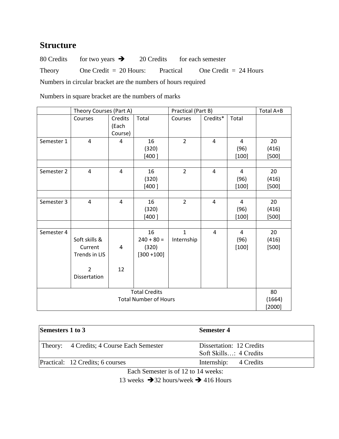# **Structure**

80 Credits for two years  $\rightarrow$  20 Credits for each semester Theory One Credit = 20 Hours: Practical One Credit = 24 Hours Numbers in circular bracket are the numbers of hours required

Numbers in square bracket are the numbers of marks

|                                                      | Theory Courses (Part A)                                                     |                             |                                              | Practical (Part B)         |                          |                                   | Total A+B              |
|------------------------------------------------------|-----------------------------------------------------------------------------|-----------------------------|----------------------------------------------|----------------------------|--------------------------|-----------------------------------|------------------------|
|                                                      | Courses                                                                     | Credits<br>(Each<br>Course) | Total                                        | Courses                    | Credits*                 | Total                             |                        |
| Semester 1                                           | 4                                                                           | 4                           | 16<br>(320)<br>[400]                         | $\overline{2}$             | 4                        | $\overline{4}$<br>(96)<br>[100]   | 20<br>(416)<br>$[500]$ |
| Semester 2                                           | $\overline{4}$                                                              | $\overline{4}$              | 16<br>(320)<br>[400]                         | $\overline{2}$             | $\overline{4}$           | $\overline{4}$<br>(96)<br>$[100]$ | 20<br>(416)<br>$[500]$ |
| Semester 3                                           | $\overline{4}$                                                              | $\overline{4}$              | 16<br>(320)<br>[400]                         | $\overline{2}$             | 4                        | $\overline{4}$<br>(96)<br>$[100]$ | 20<br>(416)<br>$[500]$ |
| Semester 4                                           | Soft skills &<br>Current<br>Trends in LIS<br>$\overline{2}$<br>Dissertation | 4<br>12                     | 16<br>$240 + 80 =$<br>(320)<br>$[300 + 100]$ | $\mathbf{1}$<br>Internship | 4                        | $\overline{4}$<br>(96)<br>[100]   | 20<br>(416)<br>[500]   |
| <b>Total Credits</b><br><b>Total Number of Hours</b> |                                                                             |                             |                                              |                            | 80<br>(1664)<br>$[2000]$ |                                   |                        |

| Semesters 1 to 3 |                                           | <b>Semester 4</b>                                  |  |  |
|------------------|-------------------------------------------|----------------------------------------------------|--|--|
|                  | Theory: 4 Credits; 4 Course Each Semester | Dissertation: 12 Credits<br>Soft Skills: 4 Credits |  |  |
|                  | Practical: 12 Credits; 6 courses          | Internship: 4 Credits                              |  |  |
|                  | ___                                       | .                                                  |  |  |

Each Semester is of 12 to 14 weeks:

13 weeks  $\rightarrow$  32 hours/week  $\rightarrow$  416 Hours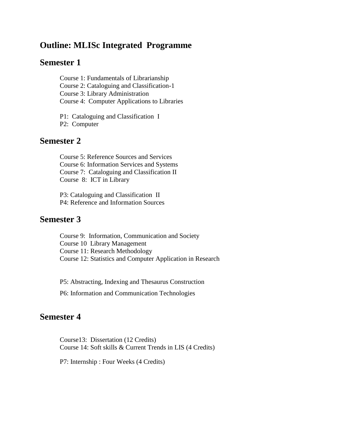# **Outline: MLISc Integrated Programme**

# **Semester 1**

Course 1: Fundamentals of Librarianship Course 2: Cataloguing and Classification-1 Course 3: Library Administration Course 4: Computer Applications to Libraries

P1: Cataloguing and Classification I P2: Computer

# **Semester 2**

Course 5: Reference Sources and Services Course 6: Information Services and Systems Course 7: Cataloguing and Classification II Course 8: ICT in Library

P3: Cataloguing and Classification II P4: Reference and Information Sources

# **Semester 3**

Course 9: Information, Communication and Society Course 10 Library Management Course 11: Research Methodology Course 12: Statistics and Computer Application in Research

P5: Abstracting, Indexing and Thesaurus Construction

P6: Information and Communication Technologies

# **Semester 4**

Course13: Dissertation (12 Credits) Course 14: Soft skills & Current Trends in LIS (4 Credits)

P7: Internship : Four Weeks (4 Credits)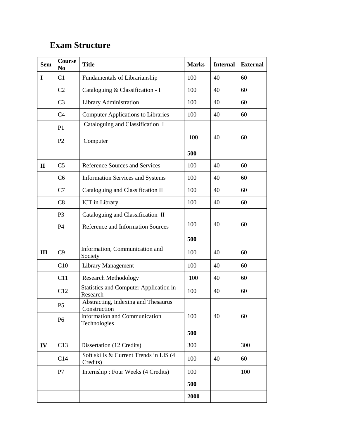# **Exam Structure**

| <b>Sem</b>   | <b>Course</b><br>N <sub>0</sub>                     | <b>Title</b>                                              | <b>Marks</b> | <b>Internal</b> | <b>External</b> |
|--------------|-----------------------------------------------------|-----------------------------------------------------------|--------------|-----------------|-----------------|
| I            | C1                                                  | Fundamentals of Librarianship                             |              | 40              | 60              |
|              | C <sub>2</sub>                                      | Cataloguing & Classification - I                          | 100          | 40              | 60              |
|              | C <sub>3</sub>                                      | Library Administration                                    | 100          | 40              | 60              |
|              | C <sub>4</sub>                                      | <b>Computer Applications to Libraries</b>                 | 100          | 40              | 60              |
|              | P <sub>1</sub>                                      | Cataloguing and Classification I                          |              |                 |                 |
|              | P <sub>2</sub>                                      | Computer                                                  | 100          | 40              | 60              |
|              |                                                     |                                                           | 500          |                 |                 |
| $\mathbf{H}$ | C <sub>5</sub>                                      | Reference Sources and Services                            | 100          | 40              | 60              |
|              | C6                                                  | <b>Information Services and Systems</b>                   | 100          | 40              | 60              |
|              | C7                                                  | Cataloguing and Classification II                         | 100          | 40              | 60              |
|              | C8                                                  | ICT in Library                                            |              | 40              | 60              |
|              | Cataloguing and Classification II<br>P <sub>3</sub> |                                                           |              |                 |                 |
|              | P4                                                  | Reference and Information Sources                         |              | 40              | 60              |
|              |                                                     |                                                           | 500          |                 |                 |
| Ш            | C9                                                  | Information, Communication and<br>Society                 | 100          | 40              | 60              |
|              | C10                                                 | <b>Library Management</b>                                 | 100          | 40              | 60              |
|              | C11                                                 | <b>Research Methodology</b>                               | 100          | 40              | 60              |
|              | C12                                                 | <b>Statistics and Computer Application in</b><br>Research | 100          | 40              | 60              |
|              | P <sub>5</sub>                                      | Abstracting, Indexing and Thesaurus<br>Construction       |              |                 |                 |
|              | P <sub>6</sub>                                      | <b>Information and Communication</b><br>Technologies      | 100          | 40              | 60              |
|              |                                                     |                                                           | 500          |                 |                 |
| IV           | C13                                                 | Dissertation (12 Credits)                                 | 300          |                 | 300             |
|              | C14                                                 | Soft skills & Current Trends in LIS (4<br>Credits)        | 100          | 40              | 60              |
|              | P7                                                  | Internship: Four Weeks (4 Credits)                        | 100          |                 | 100             |
|              |                                                     |                                                           | 500          |                 |                 |
|              |                                                     |                                                           | 2000         |                 |                 |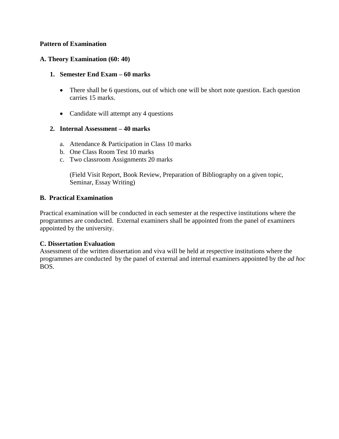## **Pattern of Examination**

# **A. Theory Examination (60: 40)**

# **1. Semester End Exam – 60 marks**

- There shall be 6 questions, out of which one will be short note question. Each question carries 15 marks.
- Candidate will attempt any 4 questions

# **2. Internal Assessment – 40 marks**

- a. Attendance & Participation in Class 10 marks
- b. One Class Room Test 10 marks
- c. Two classroom Assignments 20 marks

(Field Visit Report, Book Review, Preparation of Bibliography on a given topic, Seminar, Essay Writing)

## **B. Practical Examination**

Practical examination will be conducted in each semester at the respective institutions where the programmes are conducted. External examiners shall be appointed from the panel of examiners appointed by the university.

## **C. Dissertation Evaluation**

Assessment of the written dissertation and viva will be held at respective institutions where the programmes are conducted by the panel of external and internal examiners appointed by the *ad hoc* BOS.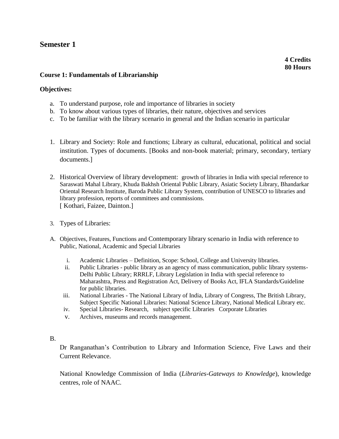# **Semester 1**

# **Course 1: Fundamentals of Librarianship**

# **Objectives:**

- a. To understand purpose, role and importance of libraries in society
- b. To know about various types of libraries, their nature, objectives and services
- c. To be familiar with the library scenario in general and the Indian scenario in particular
- 1. Library and Society: Role and functions; Library as cultural, educational, political and social institution. Types of documents. [Books and non-book material; primary, secondary, tertiary documents.]
- 2. Historical Overview of library development: growth of libraries in India with special reference to Saraswati Mahal Library, Khuda Bakhsh Oriental Public Library, Asiatic Society Library, Bhandarkar Oriental Research Institute, Baroda Public Library System, contribution of UNESCO to libraries and library profession, reports of committees and commissions. [ Kothari, Faizee, Dainton.]
- 3. Types of Libraries:
- A. Objectives, Features, Functions and Contemporary library scenario in India with reference to Public, National, Academic and Special Libraries
	- i. Academic Libraries Definition, Scope: School, College and University libraries.
	- ii. Public Libraries public library as an agency of mass communication, public library systems-Delhi Public Library; RRRLF, Library Legislation in India with special reference to Maharashtra, Press and Registration Act, Delivery of Books Act, IFLA Standards/Guideline for public libraries.
	- iii. National Libraries The National Library of India, Library of Congress, The British Library, Subject Specific National Libraries: National Science Library, National Medical Library etc.
	- iv. Special Libraries- Research, subject specific Libraries Corporate Libraries
	- v. Archives, museums and records management.

## B.

Dr Ranganathan's Contribution to Library and Information Science, Five Laws and their Current Relevance.

National Knowledge Commission of India (*Libraries-Gateways to Knowledge*), knowledge centres, role of NAAC.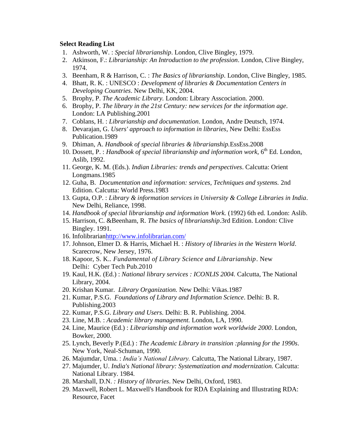- 1. Ashworth, W. : *Special librarianship*. London, Clive Bingley, 1979.
- 2. Atkinson, F.: *Librarianship: An Introduction to the profession*. London, Clive Bingley, 1974.
- 3. Beenham, R & Harrison, C. : *The Basics of librarianship*. London, Clive Bingley, 1985.
- 4. Bhatt, R. K. : UNESCO : *Development of libraries & Documentation Centers in Developing Countries*. New Delhi, KK, 2004.
- 5. Brophy, P. *The Academic Library.* London: Library Asscociation. 2000.
- 6. Brophy, P. *The library in the 21st Century: new services for the information age*. London: LA Publishing.2001
- 7. Coblans, H. : *Librarianship and documentation*. London, Andre Deutsch, 1974.
- 8. Devarajan, G. *Users' approach to information in libraries*, New Delhi: EssEss Publication.1989
- 9. Dhiman, A. *Handbook of special libraries & librarianship.*EssEss.2008
- 10. Dossett, P. : *Handbook of special librarianship and information work*, 6<sup>th</sup> Ed. London, Aslib, 1992.
- 11. George, K. M. (Eds.). *Indian Libraries: trends and perspectives*. Calcutta: Orient Longmans.1985
- 12. Guha, B. *Documentation and information: services, Techniques and systems.* 2nd Edition. Calcutta: World Press.1983
- 13. Gupta, O.P. : *Library & information services in University & College Libraries in India*. New Delhi, Reliance, 1998.
- 14. *Handbook of special librarianship and information Work.* (1992) 6th ed. London: Aslib.
- 15. Harrison, C. &Beenham, R. *The basics of librarianship*.3rd Edition. London: Clive Bingley. 1991.
- 16. Infolibraria[nhttp://www.infolibrarian.com/](http://www.infolibrarian.com/)
- 17. Johnson, Elmer D. & Harris, Michael H. : *History of libraries in the Western World*. Scarecrow, New Jersey, 1976.
- 18. Kapoor, S. K.. *Fundamental of Library Science and Librarianship*. New Delhi: Cyber Tech Pub.2010
- 19. Kaul, H.K. (Ed.) : *National library services : ICONLIS 2004.* Calcutta, The National Library, 2004.
- 20. Krishan Kumar. *Library Organization.* New Delhi: Vikas.1987
- 21. Kumar, P.S.G. *Foundations of Library and Information Science*. Delhi: B. R. Publishing.2003
- 22. Kumar, P.S.G. *Library and Users*. Delhi: B. R. Publishing. 2004.
- 23. Line, M.B. : *Academic library management.* London, LA, 1990.
- 24. Line, Maurice (Ed.) : *Librarianship and information work worldwide 2000*. London, Bowker, 2000.
- 25. Lynch, Beverly P.(Ed.) : *The Academic Library in transition :planning for the 1990s*. New York, Neal-Schuman, 1990.
- 26. Majumdar, Uma. : *India's National Library.* Calcutta, The National Library, 1987.
- 27. Majumder, U. *India's National library: Systematization and modernization.* Calcutta: National Library. 1984*.*
- 28. Marshall, D.N. *: History of libraries*. New Delhi, Oxford, 1983.
- 29. Maxwell, Robert L. Maxwell's Handbook for RDA Explaining and Illustrating RDA: Resource, Facet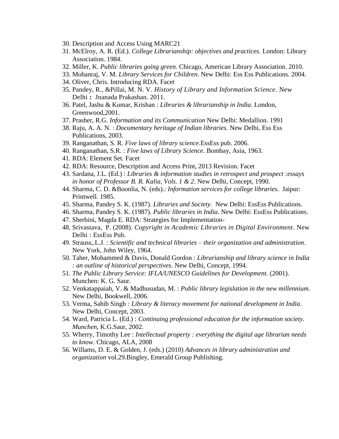- 30. Description and Access Using MARC21
- 31. McElroy, A. R. (Ed.). *College Librarianship: objectives and practices.* London: Library Association. 1984.
- 32. Miller, K. *Public libraries going green*. Chicago, American Library Association. 2010.
- 33. Mohanraj, V. M. *Library Services for Children*. New Delhi: Ess Ess Publications. 2004.
- 34. Oliver, Chris. Introducing RDA. Facet
- 35. Pandey, R., &Pillai, M. N. V*. History of Library and Information Science*. New Delhi **:** Jnanada Prakashan. 2011.
- 36. Patel, Jashu & Kumar, Krishan : *Libraries & librarianship in India*. London, Greenwood,2001.
- 37. Prasher, R.G. *Information and its Communication* New Delhi: Medallion. 1991
- 38. Raju, A. A. N. : *Documentary heritage of Indian libraries*. New Delhi, Ess Ess Publications, 2003.
- 39. Ranganathan, S. R. *Five laws of library science*.EssEss pub. 2006.
- 40. Ranganathan, S.R. : *Five laws of Library Science*. Bombay, Asia, 1963.
- 41. RDA: Element Set. Facet
- 42. RDA: Resource, Description and Access Print, 2013 Revision. Facet
- 43. Sardana, J.L. (Ed.) : *Libraries & information studies in retrospect and prospect :essays in honor of Professor B. R. Kalia, Vols. 1 & 2*. New Delhi, Concept, 1990.
- 44. Sharma, C. D. &Boonlia, N. (eds).: *Information services for college libraries.* Jaipur: Printwell. 1985.
- 45. Sharma, Pandey S. K. (1987). *Libraries and Society*. New Delhi: EssEss Publications.
- 46. Sharma, Pandey S. K. (1987). *Public libraries in India*. New Delhi: EssEss Publications.
- 47. Sherbini, Magda E. RDA: Strategies for Implementation-
- 48. Srivastava, P. (2008). *Copyright in Academic Libraries in Digital Environment*. New Delhi : EssEss Pub.
- 49. Strauss,.L.J. : *Scientific and technical libraries – their organization and administration*. New York, John Wiley, 1964.
- 50. Taher, Mohammed & Davis, Donald Gordon : *Librarianship and library science in India : an outline of historical perspectives*. New Delhi, Concept, 1994.
- 51. *The Public Library Service: IFLA/UNESCO Guidelines for Development.* (2001). Munchen: K. G. Saur.
- 52. Venkatappaiah, V. & Madhusudan, M. : *Public library legislation in the new millennium*. New Delhi, Bookwell, 2006.
- 53. Verma, Sahib Singh *: Library & literacy movement for national development in India*. New Delhi, Concept, 2003.
- 54. Ward, Patricia L. (Ed.) : *Continuing professional education for the information society. Munchen*, K.G.Saur, 2002.
- 55. Wherry, Timothy Lee : *Intellectual property : everything the digital age librarian needs to know*. Chicago, ALA, 2008
- 56. Willams, D. E. & Golden, J. (eds.) (2010) *Advances in library administration and organization* vol.29.Bingley, Emerald Group Publishing.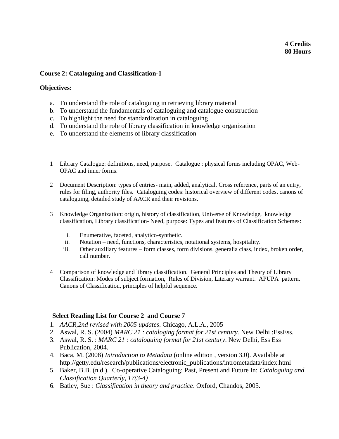# **4 Credits 80 Hours**

# **Course 2: Cataloguing and Classification-1**

# **Objectives:**

- a. To understand the role of cataloguing in retrieving library material
- b. To understand the fundamentals of cataloguing and catalogue construction
- c. To highlight the need for standardization in cataloguing
- d. To understand the role of library classification in knowledge organization
- e. To understand the elements of library classification
- 1 Library Catalogue: definitions, need, purpose. Catalogue : physical forms including OPAC, Web-OPAC and inner forms.
- 2 Document Description: types of entries- main, added, analytical, Cross reference, parts of an entry, rules for filing, authority files. Cataloguing codes: historical overview of different codes, canons of cataloguing, detailed study of AACR and their revisions.
- 3 Knowledge Organization: origin, history of classification, Universe of Knowledge, knowledge classification, Library classification- Need, purpose: Types and features of Classification Schemes:
	- i. Enumerative, faceted, analytico-synthetic.
	- ii. Notation need, functions, characteristics, notational systems, hospitality.
	- iii. Other auxiliary features form classes, form divisions, generalia class, index, broken order, call number.
- 4 Comparison of knowledge and library classification. General Principles and Theory of Library Classification: Modes of subject formation, Rules of Division, Literary warrant. APUPA pattern. Canons of Classification, principles of helpful sequence.

# **Select Reading List for Course 2 and Course 7**

- 1. *AACR,2nd revised with 2005 updates*. Chicago, A.L.A., 2005
- 2. Aswal, R. S. (2004) *MARC 21 : cataloging format for 21st century.* New Delhi :EssEss.
- 3. Aswal, R. S. : *MARC 21 : cataloguing format for 21st century*. New Delhi, Ess Ess Publication, 2004.
- 4. Baca, M. (2008) *Introduction to Metadata* (online edition , version 3.0). Available at http://getty.edu/research/publications/electronic\_publications/intrometadata/index.html
- 5. Baker, B.B. (n.d.). Co-operative Cataloguing: Past, Present and Future In: *Cataloguing and Classification Quarterly, 17(3-4)*
- 6. Batley, Sue : *Classification in theory and practice*. Oxford, Chandos, 2005.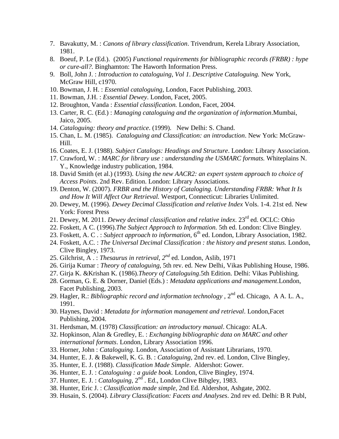- 7. Bavakutty, M. : *Canons of library classification*. Trivendrum, Kerela Library Association, 1981.
- 8. Boeuf, P. Le (Ed.). (2005) *Functional requirements for bibliographic records (FRBR) : hype or cure-all?.* Binghamton: The Haworth Information Press.
- 9. Boll, John J. : *Introduction to cataloguing, Vol 1. Descriptive Cataloguing.* New York, McGraw Hill, c1970.
- 10. Bowman, J. H. : *Essential cataloguing*, London, Facet Publishing, 2003.
- 11. Bowman, J.H. : *Essential Dewey*. London, Facet, 2005.
- 12. Broughton, Vanda : *Essential classification.* London, Facet, 2004.
- 13. Carter, R. C. (Ed.) : *Managing cataloguing and the organization of information*.Mumbai, Jaico, 2005.
- 14. *Cataloguing: theory and practice*. (1999). New Delhi: S. Chand.
- 15. Chan, L. M. (1985). *Cataloguing and Classification: an introduction*. New York: McGraw-Hill.
- 16. Coates, E. J. (1988). *Subject Catalogs: Headings and Structure*. London: Library Association.
- 17. Crawford, W. : *MARC for library use : understanding the USMARC formats.* Whiteplains N. Y., Knowledge industry publication, 1984.
- 18. David Smith (et al.) (1993). *Using the new AACR2: an expert system approach to choice of Access Points*. 2nd Rev. Edition. London: Library Associations.
- 19. Denton, W. (2007). *FRBR and the History of Cataloging. Understanding FRBR: What It Is and How It Will Affect Our Retrieval.* Westport, Connecticut: Libraries Unlimited.
- 20. Dewey, M. (1996). *Dewey Decimal Classification and relative Index* Vols. 1-4. 21st ed. New York: Forest Press
- 21. Dewey, M. 2011. *Dewey decimal classification and relative index*. 23rd ed. OCLC: Ohio
- 22. Foskett, A C. (1996).*The Subject Approach to Information.* 5th ed. London: Clive Bingley.
- 23. Foskett, A. C. : Subject approach to information, 6<sup>th</sup> ed. London, Library Association, 1982.
- 24. Foskett, A.C. : *The Universal Decimal Classification : the history and present status.* London, Clive Bingley, 1973.
- 25. Gilchrist, A .: *Thesaurus in retrieval*,  $2^{nd}$  ed. London, Aslib, 1971
- 26. Girija Kumar : *Theory of cataloguing*, 5th rev. ed. New Delhi, Vikas Publishing House, 1986.
- 27. Girja K. &Krishan K. (1986).*Theory of Cataloguing*.5th Edition. Delhi: Vikas Publishing.
- 28. Gorman, G. E. & Dorner, Daniel (Eds.) : *Metadata applications and management*.London, Facet Publishing, 2003.
- 29. Hagler, R.: *Bibliographic record and information technology*, 2<sup>nd</sup> ed. Chicago, A A. L. A., 1991.
- 30. Haynes, David : *Metadata for information management and retrieval*. London,Facet Publishing, 2004.
- 31. Herdsman, M. (1978) *Classification: an introductory manual*. Chicago: ALA.
- 32. Hopkinson, Alan & Gredley, E. : *Exchanging bibliographic data on MARC and other international formats*. London, Library Association 1996.
- 33. Horner, John : *Cataloguing*. London, Association of Assistant Librarians, 1970.
- 34. Hunter, E. J. & Bakewell, K. G. B. : *Cataloguing*, 2nd rev. ed. London, Clive Bingley,
- 35. Hunter, E. J. (1988). *Classification Made Simple*. Aldershot: Gower.
- 36. Hunter, E. J. : *Cataloguing : a guide book.* London, Clive Bingley, 1974.
- 37. Hunter, E. J. : *Cataloguing*, 2nd . Ed., London Clive Bibgley, 1983.
- 38. Hunter, Eric J. : *Classification made simple*, 2nd Ed. Aldershot, Ashgate, 2002.
- 39. Husain, S. (2004). *Library Classification: Facets and Analyses*. 2nd rev ed. Delhi: B R Publ,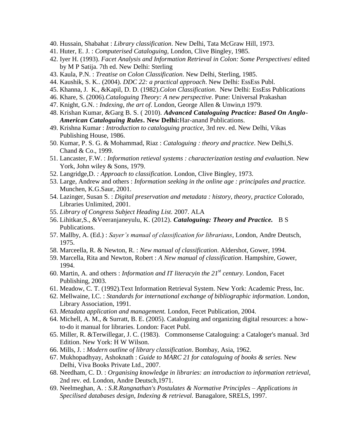- 40. Hussain, Shabahat : *Library classification*. New Delhi, Tata McGraw Hill, 1973.
- 41. Huter, E. J. : *Computerised Cataloguing,* London, Clive Bingley, 1985.
- 42. Iyer H. (1993). *Facet Analysis and Information Retrieval in Colon: Some Perspectives*/ edited by M P Satija. 7th ed. New Delhi: Sterling
- 43. Kaula, P.N. : *Treatise on Colon Classification*. New Delhi, Sterling, 1985.
- 44. Kaushik, S. K.. (2004). *DDC 22: a practical approach*. New Delhi: EssEss Publ.
- 45. Khanna, J. K., &Kapil, D. D. (1982).*Colon Classification*. New Delhi: EssEss Publications
- 46. Khare, S. (2006).*Cataloguing Theory: A new perspective*. Pune: Universal Prakashan
- 47. Knight, G.N. : *Indexing, the art of*. London, George Allen & Unwin,n 1979.
- 48. Krishan Kumar, &Garg B. S. ( 2010). *Advanced Cataloguing Practice: Based On Anglo-American Cataloguing Rules***. New Delhi:**Har-anand Publications.
- 49. Krishna Kumar : *Introduction to cataloguing practice*, 3rd rev. ed. New Delhi, Vikas Publishing House, 1986.
- 50. Kumar, P. S. G. & Mohammad, Riaz : *Cataloguing : theory and practice*. New Delhi,S. Chand & Co., 1999.
- 51. Lancaster, F.W. : *Information retieval systems : characterization testing and evaluation*. New York, John wiley & Sons, 1979.
- 52. Langridge,D. *: Approach to classification*. London, Clive Bingley, 1973.
- 53. Large, Andrew and others : *Information seeking in the online age : principales and practice.* Munchen, K.G.Saur, 2001.
- 54. Lazinger, Susan S. : *Digital preservation and metadata : history, theory, practice* Colorado, Libraries Unlimited, 2001.
- 55. *Library of Congress Subject Heading List.* 2007. ALA
- 56. Lihitkar,S., &Veeranjaneyulu, K. (2012). *Cataloguing: Theory and Practice.* B S Publications.
- 57. Mallby, A. (Ed.) : *Sayer's manual of classification for librarians*, London, Andre Deutsch, 1975.
- 58. Marceella, R. & Newton, R. : *New manual of classification*. Aldershot, Gower, 1994.
- 59. Marcella, Rita and Newton, Robert : *A New manual of classification*. Hampshire, Gower, 1994.
- 60. Martin, A. and others : *Information and IT literacyin the 21st century.* London, Facet Publishing, 2003.
- 61. Meadow, C. T. (1992).Text Information Retrieval System. New York: Academic Press, Inc.
- 62. Mellwaine, I.C. : *Standards for international exchange of bibliographic information*. London, Library Association, 1991.
- 63. *Metadata application and management.* London, Fecet Publication, 2004.
- 64. Michell, A. M., & Surratt, B. E. (2005). Cataloguing and organizing digital resources: a howto-do it manual for libraries. London: Facet Publ.
- 65. Miller, R. &Terwillegar, J. C. (1983). Commonsense Cataloguing: a Cataloger's manual. 3rd Edition. New York: H W Wilson.
- 66. Mills, J. : *Modern outline of library classification*. Bombay, Asia, 1962.
- 67. Mukhopadhyay, Ashoknath : *Guide to MARC 21 for cataloguing of books & series.* New Delhi, Viva Books Private Ltd., 2007.
- 68. Needham, C. D. : *Organising knowledge in libraries: an introduction to information retrieval,* 2nd rev. ed. London, Andre Deutsch,1971.
- 69. Neelmeghan, A. : *S.R.Rangnathan's Postulates & Normative Principles – Applications in Specilised databases design, Indexing & retrieval.* Banagalore, SRELS, 1997.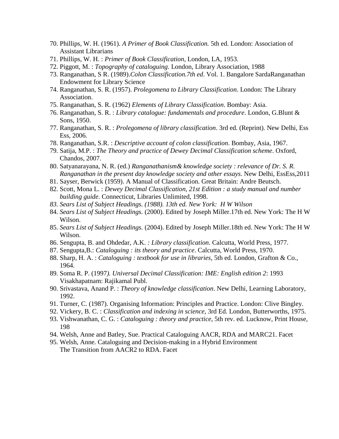- 70. Phillips, W. H. (1961). *A Primer of Book Classification.* 5th ed. London: Association of Assistant Librarians
- 71. Phillips, W. H. : *Primer of Book Classification*, London, LA, 1953.
- 72. Piggott, M. : *Topography of cataloguing*. London, Library Association, 1988
- 73. Ranganathan, S R. (1989).*Colon Classification.7th ed*. Vol. 1. Bangalore SardaRanganathan Endowment for Library Science
- 74. Ranganathan, S. R. (1957). *Prolegomena to Library Classification*. London: The Library Association.
- 75. Ranganathan, S. R. (1962) *Elements of Library Classification*. Bombay: Asia.
- 76. Ranganathan, S. R. : *Library catalogue: fundamentals and procedure*. London, G.Blunt & Sons, 1950.
- 77. Ranganathan, S. R. : *Prolegomena of library classification*. 3rd ed. (Reprint). New Delhi, Ess Ess, 2006.
- 78. Ranganathan, S.R. : *Descriptive account of colon classification*. Bombay, Asia, 1967.
- 79. Satija, M.P. : *The Theory and practice of Dewey Decimal Classification scheme*. Oxford, Chandos, 2007.
- 80. Satyanarayana, N. R. (ed.) *Ranganathanism& knowledge society : relevance of Dr. S. R. Ranganathan in the present day knowledge society and other essays*. New Delhi, EssEss,2011
- 81. Sayser, Berwick (1959). A Manual of Classification. Great Britain: Andre Beutsch.
- 82. Scott, Mona L. : *Dewey Decimal Classification, 21st Edition : a study manual and number building guide*. Connecticut, Libraries Unlimited, 1998.
- *83. Sears List of Subject Headings. (1988). 13th ed. New York: H W Wilson*
- 84. *Sears List of Subject Headings.* (2000). Edited by Joseph Miller.17th ed. New York: The H W Wilson.
- 85. *Sears List of Subject Headings.* (2004). Edited by Joseph Miller.18th ed. New York: The H W Wilson.
- 86. Sengupta, B. and Ohdedar, A.K. *: Library classification*. Calcutta, World Press, 1977.
- 87. Sengupta,B.: *Cataloguing : its theory and practice*. Calcutta, World Press, 1970.
- 88. Sharp, H. A. : *Cataloguing : textbook for use in libraries*, 5th ed. London, Grafton & Co., 1964.
- 89. Soma R. P. (1997*). Universal Decimal Classification: IME: English edition 2*: 1993 Visakhapatnam: Rajikamal Publ.
- 90. Srivastava, Anand P. : *Theory of knowledge classification*. New Delhi, Learning Laboratory, 1992.
- 91. Turner, C. (1987). Organising Information: Principles and Practice. London: Clive Bingley.
- 92. Vickery, B. C. : *Classification and indexing in science*, 3rd Ed. London, Butterworths, 1975.
- 93. Vishwanathan, C. G. : *Cataloguing : theory and practice*, 5th rev. ed. Lucknow, Print House, 198
- 94. Welsh, Anne and Batley, Sue. Practical Cataloguing AACR, RDA and MARC21. Facet
- 95. Welsh, Anne. Cataloguing and Decision-making in a Hybrid Environment The Transition from AACR2 to RDA. Facet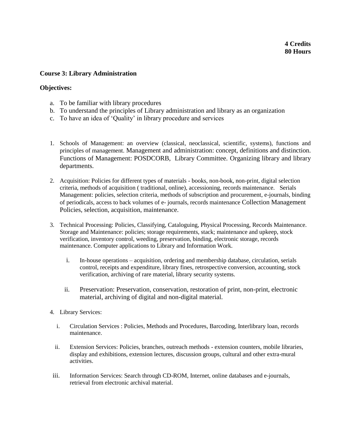# **Course 3: Library Administration**

# **Objectives:**

- a. To be familiar with library procedures
- b. To understand the principles of Library administration and library as an organization
- c. To have an idea of 'Quality' in library procedure and services
- 1. Schools of Management: an overview (classical, neoclassical, scientific, systems), functions and principles of management. Management and administration: concept, definitions and distinction. Functions of Management: POSDCORB, Library Committee. Organizing library and library departments.
- 2. Acquisition: Policies for different types of materials books, non-book, non-print, digital selection criteria, methods of acquisition ( traditional, online), accessioning, records maintenance. Serials Management: policies, selection criteria, methods of subscription and procurement, e-journals, binding of periodicals, access to back volumes of e- journals, records maintenance Collection Management Policies, selection, acquisition, maintenance.
- 3. Technical Processing: Policies, Classifying, Cataloguing, Physical Processing, Records Maintenance. Storage and Maintenance: policies; storage requirements, stack; maintenance and upkeep, stock verification, inventory control, weeding, preservation, binding, electronic storage, records maintenance. Computer applications to Library and Information Work.
	- i. In-house operations acquisition, ordering and membership database, circulation, serials control, receipts and expenditure, library fines, retrospective conversion, accounting, stock verification, archiving of rare material, library security systems.
	- ii. Preservation: Preservation, conservation, restoration of print, non-print, electronic material, archiving of digital and non-digital material.
- 4. Library Services:
	- i. Circulation Services : Policies, Methods and Procedures, Barcoding, Interlibrary loan, records maintenance.
	- ii. Extension Services: Policies, branches, outreach methods extension counters, mobile libraries, display and exhibitions, extension lectures, discussion groups, cultural and other extra-mural activities.
- iii. Information Services: Search through CD-ROM, Internet, online databases and e-journals, retrieval from electronic archival material.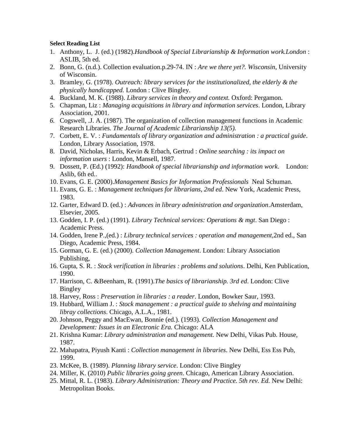- 1. Anthony, L. J. (ed.) (1982).*Handbook of Special Librarianship & Information work.London* : ASLIB, 5th ed.
- 2. Bonn, G. (n.d.). Collection evaluation.p.29-74. IN : *Are we there yet?. Wisconsin,* University of Wisconsin.
- 3. Bramley, G. (1978). *Outreach: library services for the institutionalized, the elderly & the physically handicapped.* London : Clive Bingley.
- 4. Buckland, M. K. (1988). *Library services in theory and context.* Oxford: Pergamon.
- 5. Chapman, Liz : *Managing acquisitions in library and information services*. London, Library Association, 2001.
- *6.* Cogswell, .J. A. (1987). The organization of collection management functions in Academic Research Libraries. *The Journal of Academic Librarianship 13(5).*
- 7. Corbett, E. V. : *Fundamentals of library organization and administration : a practical guide*. London, Library Association, 1978.
- 8. David, Nicholas, Harris, Kevin & Erbach, Gertrud : *Online searching : its impact on information users* : London, Mansell, 1987.
- 9. Dossett, P. (Ed.) (1992): *Handbook of special librarianship and information work*. London: Aslib, 6th ed..
- 10. Evans, G. E. (2000).*Management Basics for Information Professionals* Neal Schuman.
- 11. Evans, G. E. : *Management techniques for librarians, 2nd ed*. New York, Academic Press, 1983.
- 12. Garter, Edward D. (ed.) : *Advances in library administration and organization*.Amsterdam, Elsevier, 2005.
- 13. Godden, I. P. (ed.) (1991). *Library Technical services: Operations & mgt*. San Diego : Academic Press.
- 14. Godden, Irene P.,(ed.) : *Library technical services : operation and management,*2nd ed., San Diego, Academic Press, 1984.
- 15. Gorman, G. E. (ed.) (2000). *Collection Management*. London: Library Association Publishing,
- 16. Gupta, S. R. : *Stock verification in libraries : problems and solutions*. Delhi, Ken Publication, 1990.
- 17. Harrison, C. &Beenham, R. (1991).*The basics of librarianship. 3rd ed*. London: Clive Bingley
- 18. Harvey, Ross : *Preservation in libraries : a reader*. London, Bowker Saur, 1993.
- 19. Hubbard, William J. : *Stock management : a practical guide to shelving and maintaining libray collections*. Chicago, A.L.A., 1981.
- 20. Johnson, Peggy and MacEwan, Bonnie (ed.). (1993). *Collection Management and Development: Issues in an Electronic Era.* Chicago: ALA
- 21. Krishna Kumar: *Library administration and management.* New Delhi, Vikas Pub. House, 1987.
- 22. Mahapatra, Piyush Kanti : *Collection management in libraries*. New Delhi, Ess Ess Pub, 1999.
- 23. McKee, B. (1989). *Planning library service*. London: Clive Bingley
- 24. Miller, K. (2010) *Public libraries going green*. Chicago, American Library Association.
- 25. Mittal, R. L. (1983). *Library Administration: Theory and Practice. 5th rev. Ed.* New Delhi: Metropolitan Books.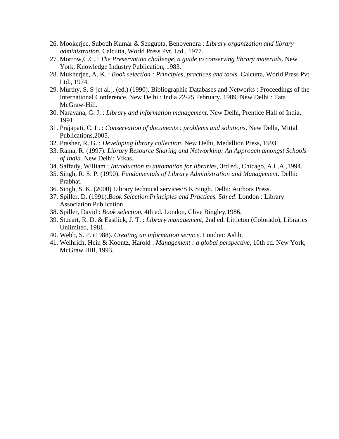- 26. Mookerjee, Subodh Kumar & Sengupta, Benoyendra : *Library organization and library administration.* Calcutta, World Press Pvt. Ltd., 1977.
- 27. Morrow,C.C. : *The Preservation challenge, a guide to conserving library materials*. New York, Knowledge Industry Publication, 1983.
- 28. Mukherjee, A. K. : *Book selection : Principles, practices and tools*. Calcutta, World Press Pvt. Ltd., 1974.
- 29. Murthy, S. S [et al.]. (ed.) (1990). Bibliographic Databases and Networks : Proceedings of the International Conference. New Delhi : India 22-25 February, 1989. New Delhi : Tata McGraw-Hill.
- 30. Narayana, G. J. : *Library and information management*. New Delhi, Prentice Hall of India, 1991.
- 31. Prajapati, C. L. : *Conservation of documents : problems and solutions*. New Delhi, Mittal Publications,2005.
- 32. Prasher, R. G. : *Developing library collection*. New Delhi, Medallion Press, 1993.
- 33. Raina, R. (1997). *Library Resource Sharing and Networking: An Approach amongst Schools of India.* New Delhi: Vikas.
- 34. Saffady, William : *Introduction to automation for libraries*, 3rd ed., Chicago, A.L.A.,1994.
- 35. Singh, R. S. P. (1990). *Fundamentals of Library Administration and Management*. Delhi: Prabhat.
- 36. Singh, S. K. (2000) Library technical services/S K Singh. Delhi: Authors Press.
- 37. Spiller, D. (1991).*Book Selection Principles and Practices. 5th ed*. London : Library Association Publication.
- 38. Spiller, David : *Book selection*, 4th ed. London, Clive Bingley,1986.
- 39. Stueart, R. D. & Eastlick, J. T. : *Library management*, 2nd ed. Littleton (Colorado), Libraries Unlimited, 1981.
- 40. Webb, S. P. (1988). *Creating an information service*. London: Aslib.
- 41. Weihrich, Hein & Koontz, Harold : *Management : a global perspective*, 10th ed. New York, McGraw Hill, 1993.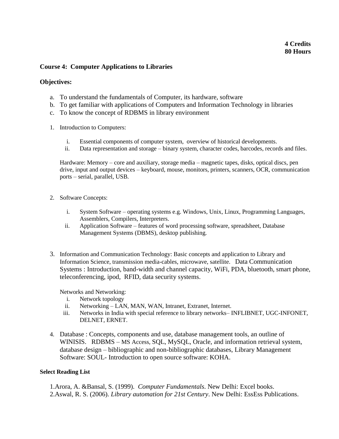# **4 Credits 80 Hours**

#### **Course 4: Computer Applications to Libraries**

#### **Objectives:**

- a. To understand the fundamentals of Computer, its hardware, software
- b. To get familiar with applications of Computers and Information Technology in libraries
- c. To know the concept of RDBMS in library environment
- 1. Introduction to Computers:
	- i. Essential components of computer system, overview of historical developments.
	- ii. Data representation and storage binary system, character codes, barcodes, records and files.

Hardware: Memory – core and auxiliary, storage media – magnetic tapes, disks, optical discs, pen drive, input and output devices – keyboard, mouse, monitors, printers, scanners, OCR, communication ports – serial, parallel, USB.

- 2. Software Concepts:
	- i. System Software operating systems e.g. Windows, Unix, Linux, Programming Languages, Assemblers, Compilers, Interpreters.
	- ii. Application Software features of word processing software, spreadsheet, Database Management Systems (DBMS), desktop publishing.
- 3. Information and Communication Technology: Basic concepts and application to Library and Information Science, transmission media-cables, microwave, satellite. Data Communication Systems : Introduction, band-width and channel capacity, WiFi, PDA, bluetooth, smart phone, teleconferencing, ipod, RFID, data security systems.

Networks and Networking:

- i. Network topology
- ii. Networking LAN, MAN, WAN, Intranet, Extranet, Internet.
- iii. Networks in India with special reference to library networks– INFLIBNET, UGC-INFONET, DELNET, ERNET.
- 4. Database : Concepts, components and use, database management tools, an outline of WINISIS. RDBMS – MS Access, SQL, MySQL, Oracle, and information retrieval system, database design – bibliographic and non-bibliographic databases, Library Management Software: SOUL- Introduction to open source software: KOHA.

#### **Select Reading List**

1.Arora, A. &Bansal, S. (1999). *Computer Fundamentals*. New Delhi: Excel books. 2.Aswal, R. S. (2006). *Library automation for 21st Century*. New Delhi: EssEss Publications.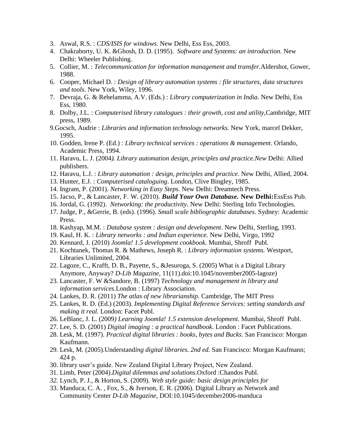- 3. Aswal, R.S. : *CDS/ISIS for windows*. New Delhi, Ess Ess, 2003.
- 4. Chakraborty, U. K. &Ghosh, D. D. (1995). *Software and Systems: an introduction.* New Delhi: Wheeler Publishing.
- 5. Collier, M. : *Telecommunication for information management and transfer.*Aldershot, Gower, 1988.
- 6. Cooper, Michael D. : *Design of library automation systems : file structures, data structures and tools*. New York, Wiley, 1996.
- 7. Devraja, G. & Rehelamma, A.V. (Eds.) : *Library computerization in India.* New Delhi, Ess Ess, 1980.
- 8. Dolby, J.L. : *Computerised library catalogues : their growth, cost and utility,*Cambridge, MIT press, 1989.
- 9.Gocsch, Audrie : *Libraries and information technology networks.* New York, marcel Dekker, 1995.
- 10. Godden, Irene P. (Ed.) : *Library technical services : operations & management*. Orlando, Academic Press, 1994.
- 11. Haravu, L. J. (2004*). Library automation design, principles and practice.New* Delhi: Allied publishers.
- 12. Haravu, L.J. : *Library automation : design, principles and practice*. New Delhi, Allied, 2004.
- 13. Hunter, E.J. : *Computerised cataloguing*. London, Clive Bingley, 1985.
- 14. Ingram, P. (2001). *Networking in Easy Steps*. New Delhi: Dreamtech Press.
- 15. Jacso, P., & Lancaster, F. W. (2010). *Build Your Own Database.* **New Delhi:**EssEss Pub.
- 16. Jordal, G. (1992). *Networking: the productivity*. New Delhi: Sterling Info Technologies.
- 17. Judge, P., &Gerrie, B. (eds). (1996). *Small scale bibliographic databases*. Sydney: Academic Press.
- 18. Kashyap, M.M. : *Database system : design and development*. New Delhi, Sterling, 1993.
- 19. Kaul, H. K. : *Library networks : and Indian experience.* New Delhi, Virgo, 1992
- 20. Kennard, J. (2010) *Joomla! 1.5 development cookbook*. Mumbai, Shroff Publ.
- 21. Kochtanek, Thomas R. & Mathews, Joseph R. : *Library information systems.* Westport, Libraries Unlimited, 2004.
- 22. Lagoze, C., Krafft, D. B., Payette, S., &Jesuroga, S. (2005) What is a Digital Library Anymore, Anyway? *D-Lib Magazine*, 11(11).doi:10.1045/november2005-lagoze)
- 23. Lancaster, F. W &Sandore, B. (1997) *Technology and management in library and information services*.London : Library Association.
- 24. Lankes, D. R. (2011) *The atlas of new librarianship*. Cambridge, The MIT Press
- 25. Lankes, R. D. (Ed.) (2003). *Implementing Digital Reference Services: setting standards and making it real.* London: Facet Publ.
- 26. LeBlanc, J. L. (2009*) Learning Joomla! 1.5 extension development*. Mumbai, Shroff Publ.
- 27. Lee, S. D. (2001) *Digital imaging : a practical handbook*. London : Facet Publications.
- 28. Lesk, M. (1997). *Practical digital libraries : books, bytes and Bucks*. San Francisco: Morgan Kaufmann.
- 29. Lesk, M. (2005).Understand*ing digital libraries. 2nd ed.* San Francisco: Morgan Kaufmann; 424 p.
- 30. library user's guide. New Zealand Digital Library Project, New Zealand.
- 31. Limb, Peter (2004).*Digital dilemmas and solutions*.Oxford :Chandos Publ.
- *32.* Lynch, P. J., & Horton, S. (2009). *Web style guide: basic design principles for*
- 33. Manduca, C. A. , Fox, S., & Iverson, E. R. (2006). Digital Library as Network and Community Center *D-Lib Magazine*, DOI:10.1045/december2006-manduca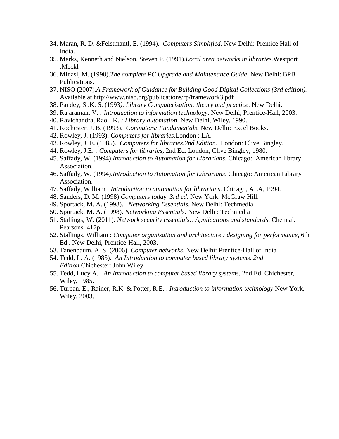- 34. Maran, R. D. &Feistmantl, E. (1994). *Computers Simplified*. New Delhi: Prentice Hall of India.
- 35. Marks, Kenneth and Nielson, Steven P. (1991).*Local area networks in libraries.*Westport :Meckl
- 36. Minasi, M. (1998).*The complete PC Upgrade and Maintenance Guide*. New Delhi: BPB Publications.
- 37. NISO (2007).*A Framework of Guidance for Building Good Digital Collections (3rd edition).* Available at http://www.niso.org/publications/rp/framework3.pdf
- 38. Pandey, S .K. S. (1993*). Library Computerisation: theory and practice*. New Delhi.
- 39. Rajaraman, V. *: Introduction to information technology*. New Delhi, Prentice-Hall, 2003.
- 40. Ravichandra, Rao I.K. *: Library automation*. New Delhi, Wiley, 1990.
- 41. Rochester, J. B. (1993). *Computers: Fundamentals*. New Delhi: Excel Books.
- 42. Rowley, J. (1993). *Computers for libraries*.London : LA.
- 43. Rowley, J. E. (1985). *Computers for libraries.2nd Edition*. London: Clive Bingley.
- 44. Rowley, J.E. *: Computers for libraries*, 2nd Ed. London, Clive Bingley, 1980.
- 45. Saffady, W. (1994).*Introduction to Automation for Librarians*. Chicago: American library Association.
- 46. Saffady, W. (1994).*Introduction to Automation for Librarians*. Chicago: American Library Association.
- 47. Saffady, William : *Introduction to automation for librarians*. Chicago, ALA, 1994.
- 48. Sanders, D. M. (1998) *Computers today. 3rd ed*. New York: McGraw Hill.
- 49. Sportack, M. A. (1998). *Networking Essentials*. New Delhi: Techmedia.
- 50. Sportack, M. A. (1998). *Networking Essentials*. New Delhi: Techmedia
- 51. Stallings, W. (2011). *Network security essentials.: Applications and standards*. Chennai: Pearsons. 417p.
- 52. Stallings, William : *Computer organization and architecture : designing for performance*, 6th Ed.. New Delhi, Prentice-Hall, 2003.
- 53. Tanenbaum, A. S. (2006). *Computer networks*. New Delhi: Prentice-Hall of India
- 54. Tedd, L. A. (1985). *An Introduction to computer based library systems. 2nd Edition.*Chichester: John Wiley.
- 55. Tedd, Lucy A. : *An Introduction to computer based library systems*, 2nd Ed. Chichester, Wiley, 1985.
- 56. Turban, E., Rainer, R.K. & Potter, R.E. : *Introduction to information technology.*New York, Wiley, 2003.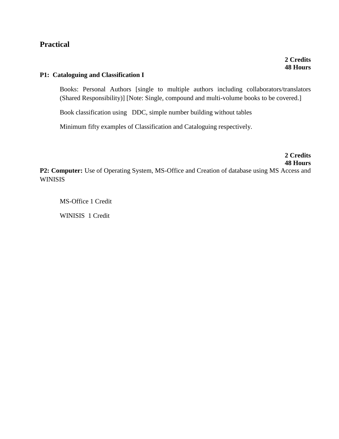# **Practical**

# **P1: Cataloguing and Classification I**

Books: Personal Authors [single to multiple authors including collaborators/translators (Shared Responsibility)] [Note: Single, compound and multi-volume books to be covered.]

Book classification using DDC, simple number building without tables

Minimum fifty examples of Classification and Cataloguing respectively.

**2 Credits 48 Hours** P2: Computer: Use of Operating System, MS-Office and Creation of database using MS Access and WINISIS

MS-Office 1 Credit

WINISIS 1 Credit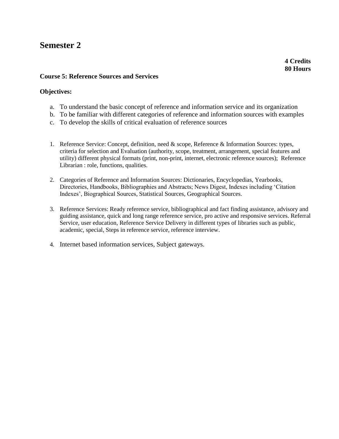# **Semester 2**

**4 Credits 80 Hours**

# **Course 5: Reference Sources and Services**

# **Objectives:**

- a. To understand the basic concept of reference and information service and its organization
- b. To be familiar with different categories of reference and information sources with examples
- c. To develop the skills of critical evaluation of reference sources
- 1. Reference Service: Concept, definition, need & scope, Reference & Information Sources: types, criteria for selection and Evaluation (authority, scope, treatment, arrangement, special features and utility) different physical formats (print, non-print, internet, electronic reference sources); Reference Librarian : role, functions, qualities.
- 2. Categories of Reference and Information Sources: Dictionaries, Encyclopedias, Yearbooks, Directories, Handbooks, Bibliographies and Abstracts; News Digest, Indexes including 'Citation Indexes', Biographical Sources, Statistical Sources, Geographical Sources.
- 3. Reference Services: Ready reference service, bibliographical and fact finding assistance, advisory and guiding assistance, quick and long range reference service, pro active and responsive services. Referral Service, user education, Reference Service Delivery in different types of libraries such as public, academic, special, Steps in reference service, reference interview.
- 4. Internet based information services, Subject gateways.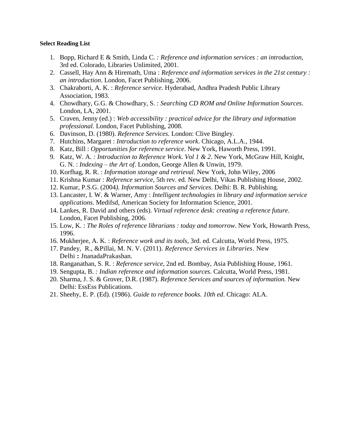- 1. Bopp, Richard E & Smith, Linda C. *: Reference and information services : an introduction,* 3rd ed. Colorado, Libraries Unlimited, 2001.
- 2. Cassell, Hay Ann & Hiremath, Uma : *Reference and information services in the 21st century : an introduction*. London, Facet Publishing, 2006.
- 3. Chakraborti, A. K. : *Reference service*. Hyderabad, Andhra Pradesh Public Library Association, 1983.
- 4. Chowdhary, G.G. & Chowdhary, S. : *Searching CD ROM and Online Information Sources*. London, LA, 2001.
- 5. Craven, Jenny (ed.) : *Web accessibility : practical advice for the library and information professional.* London, Facet Publishing, 2008.
- 6. Davinson, D. (1980). *Reference Services.* London: Clive Bingley.
- 7. Hutchins, Margaret : *Introduction to reference work*. Chicago, A.L.A., 1944.
- 8. Katz, Bill : *Opportunities for reference service*. New York, Haworth Press, 1991.
- 9. Katz, W. A. *: Introduction to Reference Work. Vol 1 & 2*. New York, McGraw Hill, Knight, G. N. : *Indexing – the Art of*. London, George Allen & Unwin, 1979.
- 10. Korfhag, R. R. : *Information storage and retrieval.* New York, John Wiley, 2006
- 11. Krishna Kumar : *Reference service,* 5th rev. ed. New Delhi, Vikas Publishing House, 2002.
- 12. Kumar, P.S.G. (2004*). Information Sources and Services*. Delhi: B. R. Publishing.
- 13. Lancaster, I. W. & Warner, Amy : *Intelligent technologies in library and information service applications.* Medifsd, American Society for Information Science, 2001.
- 14. Lankes, R. David and others (eds). *Virtual reference desk: creating a reference future*. London, Facet Publishing, 2006.
- 15. Low, K. : *The Roles of reference librarians : today and tomorrow*. New York, Howarth Press, 1996.
- 16. Mukherjee, A. K. : *Reference work and its tools*, 3rd. ed. Calcutta, World Press, 1975.
- 17. Pandey, R., &Pillai, M. N. V. (2011). *Reference Services in Libraries*. New Delhi **:** JnanadaPrakashan.
- 18. Ranganathan, S. R. : *Reference service*, 2nd ed. Bombay, Asia Publishing House, 1961.
- 19. Sengupta, B. *: Indian reference and information sources*. Calcutta, World Press, 1981.
- 20. Sharma, J. S. & Grover, D.R. (1987). *Reference Services and sources of information.* New Delhi: EssEss Publications.
- 21. Sheehy, E. P. (Ed). (1986). *Guide to reference books. 10th ed*. Chicago: ALA.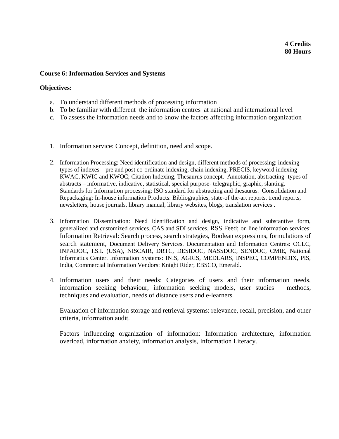# **4 Credits 80 Hours**

#### **Course 6: Information Services and Systems**

#### **Objectives:**

- a. To understand different methods of processing information
- b. To be familiar with different the information centres at national and international level
- c. To assess the information needs and to know the factors affecting information organization
- 1. Information service: Concept, definition, need and scope.
- 2. Information Processing: Need identification and design, different methods of processing: indexingtypes of indexes – pre and post co-ordinate indexing, chain indexing, PRECIS, keyword indexing-KWAC, KWIC and KWOC; Citation Indexing, Thesaurus concept. Annotation, abstracting- types of abstracts – informative, indicative, statistical, special purpose- telegraphic, graphic, slanting. Standards for Information processing: ISO standard for abstracting and thesaurus. Consolidation and Repackaging: In-house information Products: Bibliographies, state-of the-art reports, trend reports, newsletters, house journals, library manual, library websites, blogs; translation services .
- 3. Information Dissemination: Need identification and design, indicative and substantive form, generalized and customized services, CAS and SDI services, RSS Feed; on line information services: Information Retrieval: Search process, search strategies, Boolean expressions, formulations of search statement, Document Delivery Services. Documentation and Information Centres: OCLC, INPADOC, I.S.I. (USA), NISCAIR, DRTC, DESIDOC, NASSDOC, SENDOC, CMIE, National Informatics Center. Information Systems: INIS, AGRIS, MEDLARS, INSPEC, COMPENDIX, PIS, India, Commercial Information Vendors: Knight Rider, EBSCO, Emerald.
- 4. Information users and their needs: Categories of users and their information needs, information seeking behaviour, information seeking models, user studies – methods, techniques and evaluation, needs of distance users and e-learners.

Evaluation of information storage and retrieval systems: relevance, recall, precision, and other criteria, information audit.

Factors influencing organization of information: Information architecture, information overload, information anxiety, information analysis, Information Literacy.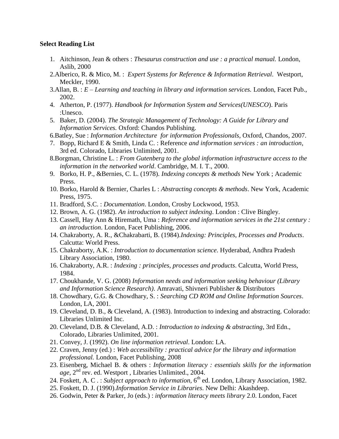- 1. Aitchinson, Jean & others : *Thesaurus construction and use : a practical manual.* London, Aslib, 2000
- 2.Alberico, R. & Mico, M. : *Expert Systems for Reference & Information Retrieval*. Westport, Meckler, 1990.
- 3.Allan, B. : *E – Learning and teaching in library and information services.* London, Facet Pub., 2002.
- 4. Atherton, P. (1977). *Handbook for Information System and Services(UNESCO*). Paris :Unesco.
- 5. Baker, D. (2004). *The Strategic Management of Technology: A Guide for Library and Information Services.* Oxford: Chandos Publishing.
- 6.Batley, Sue : *Information Architecture for information Professionals,* Oxford, Chandos, 2007.
- 7. Bopp, Richard E & Smith, Linda C. : Reference *and information services : an introduction*, 3rd ed. Colorado, Libraries Unlimited, 2001.
- 8.Borgman, Christine L. : *From Gutenberg to the global information infrastructure access to the information in the networked world*. Cambridge, M. I. T., 2000.
- 9. Borko, H. P., &Bernies, C. L. (1978). *Indexing concepts & methods* New York ; Academic Press.
- 10. Borko, Harold & Bernier, Charles L : *Abstracting concepts & methods*. New York, Academic Press, 1975.
- 11. Bradford, S.C. : *Documentation*. London, Crosby Lockwood, 1953.
- 12. Brown, A. G. (1982). *An introduction to subject indexing*. London : Clive Bingley.
- 13. Cassell, Hay Ann & Hiremath, Uma : *Reference and information services in the 21st century : an introduction*. London, Facet Publishing, 2006.
- 14. Chakraborty, A. R., &Chakrabarti, B. (1984).*Indexing: Principles, Processes and Products*. Calcutta: World Press.
- 15. Chakraborty, A.K. : *Introduction to documentation science*. Hyderabad, Andhra Pradesh Library Association, 1980.
- 16. Chakraborty, A.R. : *Indexing : principles, processes and products*. Calcutta, World Press, 1984.
- 17. Choukhande, V. G. (2008) *Information needs and information seeking behaviour (Library and Information Science Research)*. Amravati, Shivneri Publisher & Distributors
- 18. Chowdhary, G.G. & Chowdhary, S. : *Searching CD ROM and Online Information Sources*. London, LA, 2001.
- 19. Cleveland, D. B., & Cleveland, A. (1983). Introduction to indexing and abstracting. Colorado: Libraries Unlimited Inc.
- 20. Cleveland, D.B. & Cleveland, A.D. : *Introduction to indexing & abstracting*, 3rd Edn., Colorado, Libraries Unlimited, 2001.
- 21. Convey, J. (1992). *On line information retrieval*. London: LA.
- 22. Craven, Jenny (ed.) : *Web accessibility : practical advice for the library and information professional.* London, Facet Publishing, 2008
- 23. Eisenberg, Michael B. & others : *Information literacy : essentials skills for the information*  age, 2<sup>nd</sup> rev. ed. Westport, Libraries Unlimited., 2004.
- 24. Foskett, A. C. : Subject approach to information, 6<sup>th</sup> ed. London, Library Association, 1982.
- 25. Foskett, D. J. (1990).*Information Service in Libraries*. New Delhi: Akashdeep.
- 26. Godwin, Peter & Parker, Jo (eds.) : *information literacy meets library* 2.0. London, Facet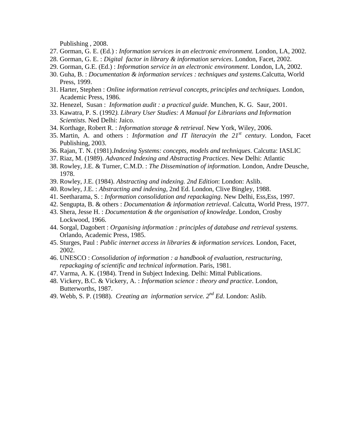Publishing , 2008.

- 27. Gorman, G. E. (Ed.) : *Information services in an electronic environment.* London, LA, 2002.
- 28. Gorman, G. E. : *Digital factor in library & information services*. London, Facet, 2002.
- 29. Gorman, G.E. (Ed.) : *Information service in an electronic environment*. London, LA, 2002.
- 30. Guha, B. : *Documentation & information services : techniques and systems*.Calcutta, World Press, 1999.
- 31. Harter, Stephen : *Online information retrieval concepts, principles and techniques.* London, Academic Press, 1986.
- 32. Henezel, Susan : *Information audit : a practical guide.* Munchen, K. G. Saur, 2001.
- 33. Kawatra, P. S. (1992*). Library User Studies: A Manual for Librarians and Information Scientists*. Ned Delhi: Jaico.
- 34. Korthage, Robert R. : *Information storage & retrieval*. New York, Wiley, 2006.
- 35. Martin, A. and others : *Information and IT literacyin the 21st century.* London, Facet Publishing, 2003.
- 36. Rajan, T. N. (1981).*Indexing Systems: concepts, models and techniques*. Calcutta: IASLIC
- 37. Riaz, M. (1989). *Advanced Indexing and Abstracting Practices*. New Delhi: Atlantic
- 38. Rowley, J.E. & Turner, C.M.D. : *The Dissemination of information*. London, Andre Deusche, 1978.
- 39. Rowley, J.E. (1984). *Abstracting and indexing. 2nd Edition*: London: Aslib.
- 40. Rowley, J.E. : *Abstracting and indexing*, 2nd Ed. London, Clive Bingley, 1988.
- 41. Seetharama, S. : *Information consolidation and repackaging*. New Delhi, Ess,Ess, 1997.
- 42. Sengupta, B. & others : *Documentation & information retrieval*. Calcutta, World Press, 1977.
- 43. Shera, Jesse H. : *Documentation & the organisation of knowledge*. London, Crosby Lockwood, 1966.
- 44. Sorgal, Dagobert : *Organising information : principles of database and retrieval systems.* Orlando, Academic Press, 1985.
- 45. Sturges, Paul : *Public internet access in libraries & information services.* London, Facet, 2002.
- 46. UNESCO : *Consolidation of information : a handbook of evaluation, restructuring, repackaging of scientific and technical information*. Paris, 1981.
- 47. Varma, A. K. (1984). Trend in Subject Indexing. Delhi: Mittal Publications.
- 48. Vickery, B.C. & Vickery, A. : *Information science : theory and practice*. London, Butterworths, 1987.
- 49. Webb, S. P. (1988). *Creating an information service. 2nd Ed*. London: Aslib.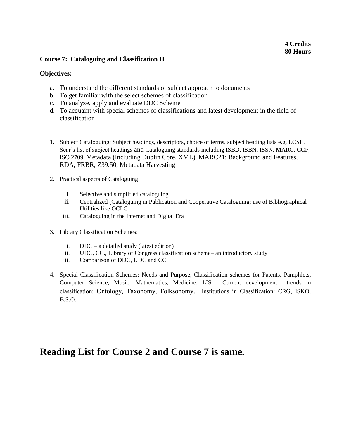# **4 Credits 80 Hours**

## **Course 7: Cataloguing and Classification II**

## **Objectives:**

- a. To understand the different standards of subject approach to documents
- b. To get familiar with the select schemes of classification
- c. To analyze, apply and evaluate DDC Scheme
- d. To acquaint with special schemes of classifications and latest development in the field of classification
- 1. Subject Cataloguing: Subject headings, descriptors, choice of terms, subject heading lists e.g. LCSH, Sear's list of subject headings and Cataloguing standards including ISBD, ISBN, ISSN, MARC, CCF, ISO 2709. Metadata (Including Dublin Core, XML) MARC21: Background and Features, RDA, FRBR, Z39.50, Metadata Harvesting
- 2. Practical aspects of Cataloguing:
	- i. Selective and simplified cataloguing
	- ii. Centralized (Cataloguing in Publication and Cooperative Cataloguing: use of Bibliographical Utilities like OCLC
	- iii. Cataloguing in the Internet and Digital Era
- 3. Library Classification Schemes:
	- i. DDC a detailed study (latest edition)
	- ii. UDC, CC., Library of Congress classification scheme– an introductory study
	- iii. Comparison of DDC, UDC and CC
- 4. Special Classification Schemes: Needs and Purpose, Classification schemes for Patents, Pamphlets, Computer Science, Music, Mathematics, Medicine, LIS. Current development trends in classification: Ontology, Taxonomy, Folksonomy. Institutions in Classification: CRG, ISKO, B.S.O.

# **Reading List for Course 2 and Course 7 is same.**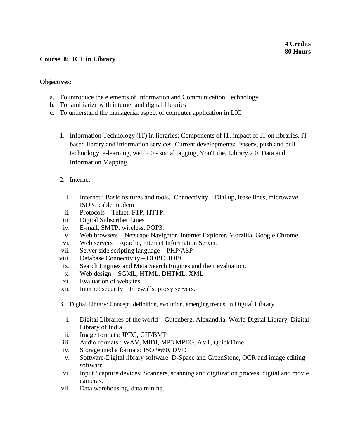# **4 Credits 80 Hours**

# **Course 8: ICT in Library**

# **Objectives:**

- a. To introduce the elements of Information and Communication Technology
- b. To familiarize with internet and digital libraries
- c. To understand the managerial aspect of computer application in LIC
	- 1. Information Technology (IT) in libraries: Components of IT, impact of IT on libraries, IT based library and information services. Current developments: listserv, push and pull technology, e-learning, web 2.0 - social tagging, YouTube, Library 2.0, Data and Information Mapping.
	- 2. Internet
		- i. Internet : Basic features and tools. Connectivity Dial up, lease lines, microwave, ISDN, cable modem
		- ii. Protocols Telnet, FTP, HTTP.
	- iii. Digital Subscriber Lines
	- iv. E-mail, SMTP, wireless, POP3.
	- v. Web browsers Netscape Navigator, Internet Explorer, Morzilla, Google Chrome
	- vi. Web servers Apache, Internet Information Server.
	- vii. Server side scripting language PHP/ASP
	- viii. Database Connectivity ODBC, IDBC.
	- ix. Search Engines and Meta Search Engines and their evaluation.
	- x. Web design SGML, HTML, DHTML, XML
	- xi. Evaluation of websites
	- xii. Internet security Firewalls, proxy servers.
	- 3. Digital Library: Concept, definition, evolution, emerging trends in Digital Library
		- i. Digital Libraries of the world Gutenberg, Alexandria, World Digital Library, Digital Library of India
	- ii. Image formats: JPEG, GIF/BMP
	- iii. Audio formats : WAV, MIDI, MP3 MPEG, AV1, QuickTime
	- iv. Storage media formats: ISO 9660, DVD
	- v. Software-Digital library software: D-Space and GreenStone, OCR and image editing software.
	- vi. Input / capture devices: Scanners, scanning and digitization process, digital and movie cameras.
	- vii. Data warehousing, data mining.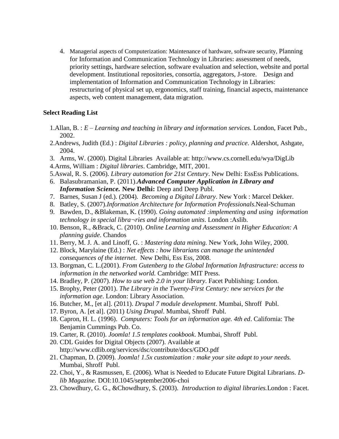4. Managerial aspects of Computerization: Maintenance of hardware, software security, Planning for Information and Communication Technology in Libraries: assessment of needs, priority settings, hardware selection, software evaluation and selection, website and portal development. Institutional repositories, consortia, aggregators, J-store. Design and implementation of Information and Communication Technology in Libraries: restructuring of physical set up, ergonomics, staff training, financial aspects, maintenance aspects, web content management, data migration.

- 1.Allan, B. : *E – Learning and teaching in library and information services.* London, Facet Pub., 2002.
- 2.Andrews, Judith (Ed.) : *Digital Libraries : policy, planning and practice*. Aldershot, Ashgate, 2004.
- 3. Arms, W. (2000). Digital Libraries Available at: http://www.cs.cornell.edu/wya/DigLib
- 4.Arms, William : *Digital libraries*. Cambridge, MIT, 2001.
- 5.Aswal, R. S. (2006). *Library automation for 21st Century*. New Delhi: EssEss Publications.
- 6. Balasubramanian, P. (2011).*Advanced Computer Application in Library and Information Science.* **New Delhi:** Deep and Deep Publ.
- 7. Barnes, Susan J (ed.). (2004). *Becoming a Digital Library*. New York : Marcel Dekker.
- 8. Batley, S. (2007).*Information Architecture for Information Professionals*.Neal-Schuman
- 9. Bawden, D., &Blakeman, K. (1990). *Going automated :implementing and using information technology in special libra¬ries and information units*. London :Aslib.
- 10. Benson, R., &Brack, C. (2010). *Online Learning and Assessment in Higher Education: A planning guide*. Chandos
- 11. Berry, M. J. A. and Linoff, G. : *Mastering data mining.* New York, John Wiley, 2000.
- 12. Block, Marylaine (Ed.) : *Net effects : how librarians can manage the unintended consequences of the internet*. New Delhi, Ess Ess, 2008.
- 13. Borgman, C. L.(2001). *From Gutenberg to the Global Information Infrastructure: access to information in the networked world.* Cambridge: MIT Press.
- 14. Bradley, P. (2007). *How to use web 2.0 in your library*. Facet Publishing: London.
- 15. Brophy, Peter (2001). *The Library in the Twenty-First Century: new services for the information age*. London: Library Association.
- 16. Butcher, M., [et al]. (2011). *Drupal 7 module development*. Mumbai, Shroff Publ.
- 17. Byron, A. [et al]. (2011) *Using Drupal*. Mumbai, Shroff Publ.
- 18. Capron, H. L. (1996). *Computers: Tools for an information age. 4th ed*. California: The Benjamin Cummings Pub. Co.
- 19. Carter, R. (2010). *Joomla! 1.5 templates cookbook*. Mumbai, Shroff Publ.
- 20. CDL Guides for Digital Objects (2007). Available at http://www.cdlib.org/services/dsc/contribute/docs/GDO.pdf
- 21. Chapman, D. (2009). *Joomla! 1.5x customization : make your site adapt to your needs.* Mumbai, Shroff Publ.
- 22. Choi, Y., & Rasmussen, E. (2006). What is Needed to Educate Future Digital Librarians. *Dlib Magazine*. DOI:10.1045/september2006-choi
- 23. Chowdhury, G. G., &Chowdhury, S. (2003). *Introduction to digital libraries.*London : Facet.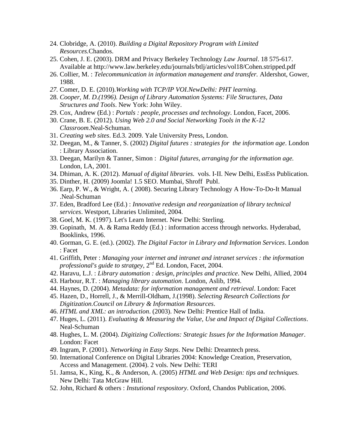- 24. Clobridge, A. (2010). *Building a Digital Repository Program with Limited Resources.*Chandos.
- 25. Cohen, J. E. (2003). DRM and Privacy Berkeley Technology *Law Journal*. 18 575-617. Available at http://www.law.berkeley.edu/journals/btlj/articles/vol18/Cohen.stripped.pdf
- 26. Collier, M. : *Telecommunication in information management and transfer.* Aldershot, Gower, 1988.
- *27.* Comer, D. E. (2010).*Working with TCP/IP VOI.NewDelhi: PHT learning.*
- 28. *Cooper, M. D.(1996). Design of Library Automation Systems: File Structures, Data Structures and Tools*. New York: John Wiley.
- 29. Cox, Andrew (Ed.) : *Portals : people, processes and technology*. London, Facet, 2006.
- 30. Crane, B. E. (2012). *Using Web 2.0 and Social Networking Tools in the K-12 Classroom*.Neal-Schuman.
- 31. *Creating web sites*. Ed.3. 2009. Yale University Press, London.
- 32. Deegan, M., & Tanner, S. (2002) *Digital futures : strategies for the information age*. London : Library Association.
- 33. Deegan, Marilyn & Tanner, Simon : *Digital futures, arranging for the information age.*  London, LA, 2001.
- 34. Dhiman, A. K. (2012). *Manual of digital libraries.* vols. I-II. New Delhi, EssEss Publication.
- 35. Dinther, H. (2009) Joomla! 1.5 SEO. Mumbai, Shroff Publ.
- 36. Earp, P. W., & Wright, A. ( 2008). Securing Library Technology A How-To-Do-It Manual .Neal-Schuman
- 37. Eden, Bradford Lee (Ed.) : *Innovative redesign and reorganization of library technical services*. Westport, Libraries Unlimited, 2004.
- 38. Goel, M. K. (1997). Let's Learn Internet. New Delhi: Sterling.
- 39. Gopinath, M. A. & Rama Reddy (Ed.) : information access through networks. Hyderabad, Booklinks, 1996.
- 40. Gorman, G. E. (ed.). (2002). *The Digital Factor in Library and Information Services*. London : Facet
- 41. Griffith, Peter : *Managing your internet and intranet and intranet services : the information*  professional's guide to stratgey, 2<sup>nd</sup> Ed. London, Facet, 2004.
- 42. Haravu, L.J. : *Library automation : design, principles and practice*. New Delhi, Allied, 2004
- 43. Harbour, R.T. : *Managing library automation*. London, Aslib, 1994.
- 44. Haynes, D. (2004). *Metadata: for information management and retrieval*. London: Facet
- 45. Hazen, D., Horrell, J., & Merrill-Oldham, J.(1998). *Selecting Research Collections for Digitization.Council on Library & Information Resources*.
- 46. *HTML and XML: an introduction*. (2003). New Delhi: Prentice Hall of India.
- 47. Huges, L. (2011). *Evaluating & Measuring the Value, Use and Impact of Digital Collections*. Neal-Schuman
- 48. Hughes, L. M. (2004). *Digitizing Collections: Strategic Issues for the Information Manager*. London: Facet
- 49. Ingram, P. (2001). *Networking in Easy Steps*. New Delhi: Dreamtech press.
- 50. International Conference on Digital Libraries 2004: Knowledge Creation, Preservation, Access and Management. (2004). 2 vols. New Delhi: TERI
- 51. Jamsa, K., King, K., & Anderson, A. (2005) *HTML and Web Design: tips and techniques.* New Delhi: Tata McGraw Hill.
- 52. John, Richard & others : *Instutional respository*. Oxford, Chandos Publication, 2006.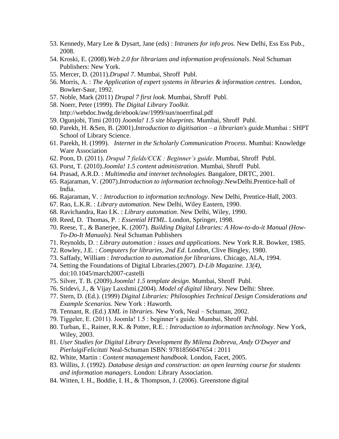- 53. Kennedy, Mary Lee & Dysart, Jane (eds) : *Intranets for info pros.* New Delhi, Ess Ess Pub., 2008.
- 54. Kroski, E. (2008).*Web 2.0 for librarians and information professionals*. Neal Schuman Publishers: New York.
- 55. Mercer, D. (2011).*Drupal 7*. Mumbai, Shroff Publ.
- 56. Morris, A. : *The Application of expert systems in libraries & information centres.* London, Bowker-Saur, 1992.
- 57. Noble, Mark (2011) *Drupal 7 first look.* Mumbai, Shroff Publ.
- 58. Noerr, Peter (1999). *The Digital Library Toolkit.* http://webdoc.hwdg.de/ebook/aw/1999/sun/noerrfinal.pdf
- 59. Ogunjobi, Timi (2010) *Joomla! 1.5 site blueprints.* Mumbai, Shroff Publ.
- 60. Parekh, H. &Sen, B. (2001).*Introduction to digitisation – a librarian's guide.*Mumbai : SHPT School of Library Science.
- 61. Parekh, H. (1999). *Internet in the Scholarly Communication Process*. Mumbai: Knowledge Ware Association
- 62. Poon, D. (2011). *Drupal 7 fields/CCK : Beginner's guide*. Mumbai, Shroff Publ.
- 63. Porst, T. (2010).*Joomla! 1.5 content administration*. Mumbai, Shroff Publ.
- 64. Prasad, A.R.D. : *Multimedia and internet technologies.* Bangalore, DRTC, 2001.
- 65. Rajaraman, V. (2007).*Introduction to information technology*.NewDelhi.Prentice-hall of India.
- 66. Rajaraman, V. *: Introduction to information technology*. New Delhi, Prentice-Hall, 2003.
- 67. Rao, L.K.R. : *Library automation.* New Delhi, Wiley Eastern, 1990.
- 68. Ravichandra, Rao I.K. : *Library automation*. New Delhi, Wiley, 1990.
- 69. Reed, D. Thomas, P. : *Essential HTML*. London, Springer, 1998.
- 70. Reese, T., & Banerjee, K. (2007). *Building Digital Libraries: A How-to-do-it Manual (How-To-Do-It Manuals).* Neal Schuman Publishers
- 71. Reynolds, D. : *Library automation : issues and applications.* New York R.R. Bowker, 1985.
- 72. Rowley, J.E. : *Computers for libraries, 2nd Ed*. London, Clive Bingley, 1980.
- 73. Saffady, William : *Introduction to automation for librarians*. Chicago, ALA, 1994.
- 74. Setting the Foundations of Digital Libraries.(2007). *D-Lib Magazine. 13(4),* doi:10.1045/march2007-castelli
- 75. Silver, T. B. (2009).*Joomla! 1.5 template design*. Mumbai, Shroff Publ.
- 76. Sridevi, J., & Vijay Laxshmi.(2004). *Model of digital library*. New Delhi: Shree.
- 77. Stern, D. (Ed.). (1999) *Digital Libraries: Philosophies Technical Design Considerations and Example Scenarios*. New York : Haworth.
- 78. Tennant, R. (Ed.) *XML in libraries.* New York, Neal Schuman, 2002.
- 79. Tiggeler, E. (2011). Joomla! 1.5 : beginner's guide. Mumbai, Shroff Publ.
- 80. Turban, E., Rainer, R.K. & Potter, R.E. : *Introduction to information technology.* New York, Wiley, 2003.
- 81. *User Studies for Digital Library Development By Milena Dobreva, Andy O'Dwyer and PierluigiFelicitati* Neal-Schuman ISBN: 9781856047654 : 2011
- 82. White, Martin : *Content management handbook.* London, Facet, 2005.
- 83. Willits, J. (1992). *Database design and construction: an open learning course for students and information managers*. London: Library Association.
- 84. Witten, I. H., Boddie, I. H., & Thompson, J. (2006). Greenstone digital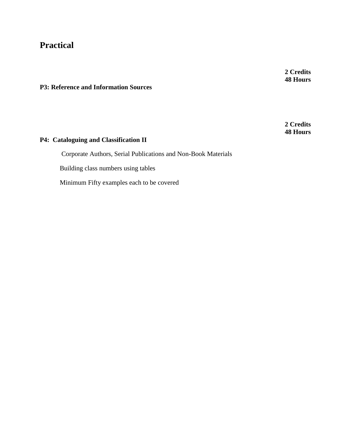# **Practical**

**2 Credits 48 Hours**

**P3: Reference and Information Sources**

**2 Credits 48 Hours**

# **P4: Cataloguing and Classification II**

Corporate Authors, Serial Publications and Non-Book Materials Building class numbers using tables Minimum Fifty examples each to be covered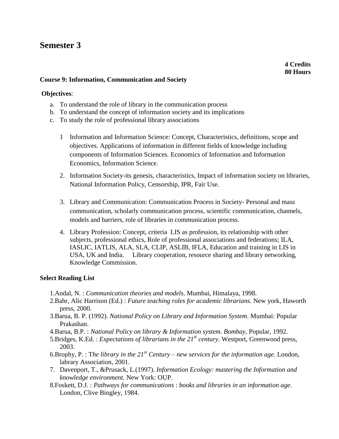# **Semester 3**

## **Course 9: Information, Communication and Society**

#### **Objectives**:

- a. To understand the role of library in the communication process
- b. To understand the concept of information society and its implications
- c. To study the role of professional library associations
	- 1 Information and Information Science: Concept, Characteristics, definitions, scope and objectives. Applications of information in different fields of knowledge including components of Information Sciences. Economics of Information and Information Economics, Information Science.
	- 2. Information Society-its genesis, characteristics, Impact of information society on libraries, National Information Policy, Censorship, IPR, Fair Use.
	- 3. Library and Communication: Communication Process in Society- Personal and mass communication, scholarly communication process, scientific communication, channels, models and barriers, role of libraries in communication process.
	- 4. Library Profession: Concept, criteria LIS as profession, its relationship with other subjects, professional ethics, Role of professional associations and federations; ILA, IASLIC, IATLIS, ALA, SLA, CLIP, ASLIB, IFLA, Education and training in LIS in USA, UK and India. Library cooperation, resource sharing and library networking, Knowledge Commission.

- 1.Andal, N. : *Communication theories and models*. Mumbai, Himalaya, 1998.
- 2.Bahr, Alic Harrison (Ed.) : *Future teaching roles for academic librarians*. New york, Haworth press, 2000.
- 3.Barua, B. P. (1992). *National Policy on Library and Information System*. Mumbai: Popular Prakashan.
- 4.Barua, B.P. : *National Policy on library & Information system. Bombay,* Popular, 1992.
- 5.Bridges, K.Ed. : *Expectations of librarians in the 21st century*. Westport, Greenwood press, 2003.
- 6.Brophy, P. : T*he library in the 21st Century – new services for the information age.* London, labrary Association, 2001.
- 7. Davenport, T., &Prusack, L.(1997). *Information Ecology: mastering the Information and knowledge environment*. New York: OUP.
- 8.Foskett, D.J. : *Pathways for communications* : *books and libraries in an information age*. London, Clive Bingley, 1984.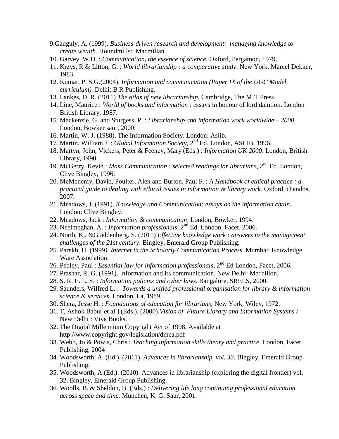- 9.Ganguly, A. (1999). *Business-driven research and development: managing knowledge to create wealth.* Houndmills: Macmillan
- 10. Garvey, W.D. : *Communication, the essence of science*. Oxford, Pergamon, 1979.
- 11. Krzys, R & Litton, G. : *World librarianship : a comparative study*. New York, Marcel Dekker, 1983.
- 12. Kumar, P. S.G.(2004). *Information and communication (Paper IX of the UGC Model curriculum).* Delhi: B R Publishing.
- 13. Lankes, D. R. (2011) *The atlas of new librarianship.* Cambridge, The MIT Press
- 14. Line, Maurice : *World of books and information :* essays in honour of lord daintion. London British Library, 1987.
- 15. Mackenzie, G. and Sturgess, P. : *Librarianship and information work worldwide – 2000*. London, Bowker saur, 2000.
- 16. Martin, W. J. (1988). The Information Society. London: Aslib.
- 17. Martin, William J. : *Global Information Society*, 2<sup>nd</sup> Ed. London, ASLIB, 1996.
- 18. Martyn, John, Vickers, Peter & Feeney, Mary (Eds.) : *Information UK 2000*. London, British Library, 1990.
- 19. McGerry, Kevin : *Mass Communication : selected readings for librarians*, 2<sup>nd</sup> Ed. London, Clive Bingley, 1996.
- 20. McMenemy, David, Poulter, Alen and Burton, Paul F. : *A Handbook of ethical practice : a practical guide to dealing with ethical issues in information & library work.* Oxford, chandos, 2007.
- 21. Meadows, J. (1991). *Knowledge and Communication: essays on the information chain.*  London: Clive Bingley.
- 22. Meadows, Jack : *Information & communication*. London, Bowker, 1994.
- 23. Neelmeghan, A. : *Information professionals*, 2nd Ed. London, Facet, 2006.
- 24. North, K., &Gueldenberg, S. (2011) *Effective knowledge work : answers to the management challenges of the 21st century*. Bingley, Emerald Group Publishing.
- 25. Parekh, H. (1999*). Internet in the Scholarly Communication Process*. Mumbai: Knowledge Ware Association.
- 26. Pedley, Paul : *Essential law for information professionals*, 2nd Ed London, Facet, 2006.
- 27. Prashar, R. G. (1991). Information and its communication. New Delhi: Medallion.
- 28. S. R. E. L. S. : *Information policies and cyber laws*. Bangalore, SRELS, 2000.
- 29. Saunders, Wilfred L. : *Towards a unified professional organisation for library & information science & services.* London, La, 1989.
- 30. Shera, Jesse H. : *Foundations of education for librarians*, New York, Wiley, 1972.
- 31. T, Ashok Babu[ et al ] (Eds.). (2000).*Vision of Future Library and Information Systems* /. New Delhi : Viva Books.
- 32. The Digital Millennium Copyright Act of 1998. Available at http://www.copyright.gov/legislation/dmca.pdf
- 33. Webb, Jo & Powis, Chris : *Teaching information skills theory and practice.* London, Facet Publishing, 2004
- 34. Woodsworth, A. (Ed.). (2011). *Advances in librarianship vol. 33*. Bingley, Emerald Group Publishing.
- 35. Woodsworth, A.(Ed.). (2010). Advances in librarianship (exploring the digital frontier) vol. 32. Bingley, Emerald Group Publishing.
- 36. Woolls, B. & Sheldon, B. (Eds.) : *Delivering life long continuing professional education across space and time.* Munchen, K. G. Saur, 2001.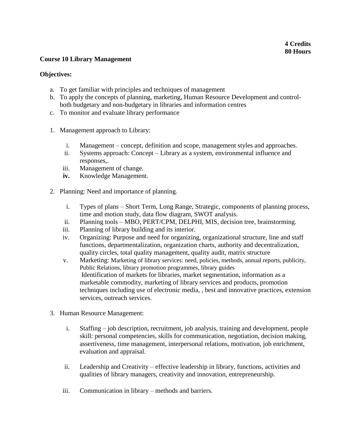# **Course 10 Library Management**

# **Objectives:**

- a. To get familiar with principles and techniques of management
- b. To apply the concepts of planning, marketing, Human Resource Development and controlboth budgetary and non-budgetary in libraries and information centres
- c. To monitor and evaluate library performance
- 1. Management approach to Library:
	- i. Management concept, definition and scope, management styles and approaches.
	- ii. Systems approach: Concept Library as a system, environmental influence and responses,.
	- iii. Management of change.
	- **iv.** Knowledge Management.
- 2. Planning: Need and importance of planning.
	- i. Types of plans Short Term, Long Range, Strategic, components of planning process, time and motion study, data flow diagram, SWOT analysis.
	- ii. Planning tools MBO, PERT/CPM, DELPHI, MIS, decision tree, brainstorming.
	- iii. Planning of library building and its interior.
	- iv. Organizing: Purpose and need for organizing, organizational structure, line and staff functions, departmentalization, organization charts, authority and decentralization, quality circles, total quality management, quality audit, matrix structure
	- v. Marketing: Marketing of library services: need, policies, methods, annual reports, publicity, Public Relations, library promotion programmes, library guides Identification of markets for libraries, market segmentation, information as a marketable commodity, marketing of library services and products, promotion techniques including use of electronic media, , best and innovative practices, extension services, outreach services.
- 3. Human Resource Management:
	- i. Staffing job description, recruitment, job analysis, training and development, people skill: personal competencies, skills for communication, negotiation, decision making, assertiveness, time management, interpersonal relations, motivation, job enrichment, evaluation and appraisal.
	- ii. Leadership and Creativity effective leadership in library, functions, activities and qualities of library managers, creativity and innovation, entrepreneurship.
	- iii. Communication in library methods and barriers.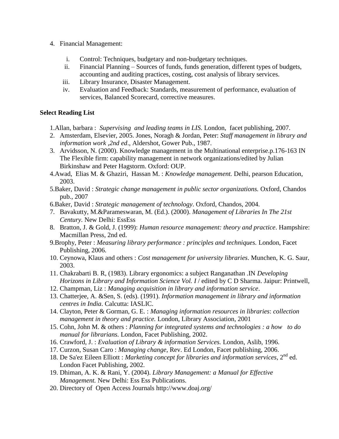- 4. Financial Management:
	- i. Control: Techniques, budgetary and non-budgetary techniques.
	- ii. Financial Planning Sources of funds, funds generation, different types of budgets, accounting and auditing practices, costing, cost analysis of library services.
	- iii. Library Insurance, Disaster Management.
	- iv. Evaluation and Feedback: Standards, measurement of performance, evaluation of services, Balanced Scorecard, corrective measures.

# **Select Reading List**

1.Allan, barbara : *Supervising and leading teams in LIS*. London, facet publishing, 2007.

- 2. Amsterdam, Elsevier, 2005. Jones, Noragh & Jordan, Peter: *Staff management in library and information work ,2nd ed*., Aldershot, Gower Pub., 1987.
- 3. Arvidsson, N. (2000). Knowledge management in the Multinational enterprise.p.176-163 IN The Flexible firm: capability management in network organizations/edited by Julian Birkinshaw and Peter Hagstorm. Oxford: OUP.
- 4.Awad, Elias M. & Ghaziri, Hassan M. : *Knowledge management.* Delhi, pearson Education, 2003.
- 5.Baker, David : *Strategic change management in public sector organizations.* Oxford, Chandos pub., 2007
- 6.Baker, David : *Strategic management of technology*. Oxford, Chandos, 2004.
- 7. Bavakutty, M.&Parameswaran, M. (Ed.). (2000). *Management of Libraries In The 21st Century.* New Delhi: EssEss
- 8. Bratton, J. & Gold, J. (1999): *Human resource management: theory and practice*. Hampshire: Macmillan Press, 2nd ed.
- 9.Brophy, Peter : *Measuring library performance : principles and techniques.* London, Facet Publishing, 2006.
- 10. Ceynowa, Klaus and others : *Cost management for university libraries*. Munchen, K. G. Saur, 2003.
- 11. Chakrabarti B. R, (1983). Library ergonomics: a subject Ranganathan .IN *Developing Horizons in Library and Information Science Vol. I* / edited by C D Sharma. Jaipur: Printwell,
- 12. Champman, Liz : *Managing acquisition in library and information service*.
- 13. Chatterjee, A. &Sen, S. (eds). (1991). *Information management in library and information centres in India*. Calcutta: IASLIC.
- 14. Clayton, Peter & Gorman, G. E. : *Managing information resources in libraries*: *collection management in theory and practice.* London, Library Association, 2001
- 15. Cohn, John M. & others : *Planning for integrated systems and technologies : a how to do manual for librarians.* London, Facet Publishing, 2002.
- 16. Crawford, J. : *Evaluation of Library & information Services.* London, Aslib, 1996.
- 17. Curzon, Susan Caro : *Managing change*, Rev. Ed London, Facet publishing, 2006.
- 18. De Sa'ez Eileen Elliott : *Marketing concept for libraries and information services*, 2nd ed. London Facet Publishing, 2002.
- 19. Dhiman, A. K. & Rani, Y. (2004). *Library Management: a Manual for Effective Management.* New Delhi: Ess Ess Publications.
- 20. Directory of Open Access Journals http://www.doaj.org/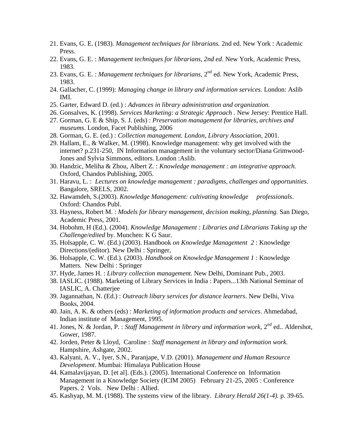- 21. Evans, G. E. (1983). *Management techniques for librarians.* 2nd ed. New York : Academic Press.
- 22. Evans, G. E. : *Management techniques for librarians, 2nd ed*. New York, Academic Press, 1983.
- 23. Evans, G. E. : *Management techniques for librarians*, 2<sup>nd</sup> ed. New York, Academic Press, 1983.
- 24. Gallacher, C. (1999): *Managing change in library and information services.* London: Aslib IMI.
- 25. Garter, Edward D. (ed.) : *Advances in library administration and organization.*
- 26. Gonsalves, K. (1998). *Services Marketing: a Strategic Approach .* New Jersey: Prentice Hall.
- 27. Gorman, G. E & Ship, S. J. (eds) : *Preservation management for libraries, archives and museums*. London, Facet Publishing, 2006
- 28. Gorman, G. E. (ed.) : *Collection management. London, Library Association,* 2001.
- 29. Hallam, E., & Walker, M. (1998). Knowledge management: why get involved with the internet? p.231-250, IN Information management in the voluntary sector/Diana Grimwood-Jones and Sylvia Simmons, editors. London :Aslib.
- 30. Handzic, Meliha & Zhou, Albert Z. : *Knowledge management : an integrative approach.* Oxford, Chandos Publishing, 2005.
- 31. Haravu, L. : *Lectures on knowledge management : paradigms, challenges and opportunities*. Bangalore, SRELS, 2002.
- 32. Hawamdeh, S.(2003). *Knowledge Management: cultivating knowledge professionals*. Oxford: Chandos Publ.
- 33. Hayness, Robert M. : *Models for library management, decision making, planning.* San Diego, Academic Press, 2001.
- 34. Hobohm, H (Ed.). (2004). *Knowledge Management : Libraries and Librarians Taking up the Challenge/edited* by. Munchen: K G Saur.
- 35. Holsapple, C. W. (Ed.) (2003). Handbook *on Knowledge Management 2* : Knowledge Directions/(editor). New Delhi : Springer,
- 36. Holsapple, C. W. (Ed.). (2003). *Handbook on Knowledge Management 1* : Knowledge Matters. New Delhi : Springer
- 37. Hyde, James H. : *Library collection management.* New Delhi, Dominant Pub., 2003.
- 38. IASLIC. (1988). Marketing of Library Services in India : Papers...13th National Seminar of IASLIC, A. Chatterjee
- 39. Jagannathan, N. (Ed.) : *Outreach libary services for distance learners*. New Delhi, Viva Books, 2004.
- 40. Jain, A. K. & others (eds) : *Marketing of information products and services*. Ahmedabad, Indian institute of Management, 1995.
- 41. Jones, N. & Jordan, P. : *Staff Management in library and information work*, 2<sup>nd</sup> ed.. Aldershot, Gower, 1987.
- 42. Jorden, Peter & Lloyd, Caroline : *Staff management in library and information work.* Hampshire, Ashgate, 2002.
- 43. Kalyani, A. V., Iyer, S.N., Paranjape, V.D. (2001). *Management and Human Resource Development*. Mumbai: Himalaya Publication House
- 44. Kamalavijayan, D. [et al]. (Eds.). (2005). International Conference on Information Management in a Knowledge Society (ICIM 2005) February 21-25, 2005 : Conference Papers. 2 Vols. New Delhi : Allied.
- 45. Kashyap, M. M. (1988). The systems view of the library. *Library Herald 26(1-4).* p. 39-65.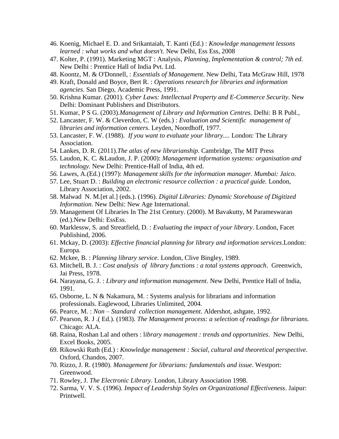- 46. Koenig, Michael E. D. and Srikantaiah, T. Kanti (Ed.) : *Knowledge management lessons learned : what works and what doesn't.* New Delhi, Ess Ess, 2008
- 47. Kolter, P. (1991). Marketing MGT : Analysis*, Planning, Implementation & control; 7th ed*. New Delhi : Prentice Hall of India Pvt. Ltd.
- 48. Koontz, M. & O'Donnell, : *Essentials of Management*. New Delhi, Tata McGraw Hill, 1978
- 49. Kraft, Donald and Boyce, Bert R. : *Operations research for libraries and information agencies*. San Diego, Academic Press, 1991.
- 50. Krishna Kumar. (2001). *Cyber Laws: Intellectual Property and E-Commerce Security.* New Delhi: Dominant Publishers and Distributors.
- 51. Kumar, P S G. (2003).*Management of Library and Information Centres.* Delhi: B R Publ.,
- 52. Lancaster, F. W. & Cleverdon, C. W (eds.) : *Evaluation and Scientific management of libraries and information centers*. Leyden, Noordhoff, 1977.
- 53. Lancaster, F. W. (1988). *If you want to evaluate your library....* London: The Library Association.
- 54. Lankes, D. R. (2011).*The atlas of new librarianship.* Cambridge, The MIT Press
- 55. Laudon, K. C. &Laudon, J. P. (2000): *Management information systems: organisation and technology.* New Delhi: Prentice-Hall of India, 4th ed.
- *56.* Lawes, A.(Ed.) (1997): *Management skills for the information manager. Mumbai: Jaico.*
- 57. Lee, Stuart D. : *Building an electronic resource collection : a practical guide.* London, Library Association, 2002.
- 58. Malwad N. M.[et al.] (eds.). (1996). *Digital Libraries: Dynamic Storehouse of Digitized Information*. New Delhi: New Age International.
- 59. Management Of Libraries In The 21st Century. (2000). M Bavakutty, M Parameswaran (ed.).New Delhi: EssEss.
- 60. Marklessw, S. and Streatfield, D. : *Evaluating the impact of your library*. London, Facet Publishind, 2006.
- 61. Mckay, D. (2003): *Effective financial planning for library and information services*.London: Europa.
- 62. Mckee, B. : *Planning library service*. London, Clive Bingley, 1989.
- 63. Mitchell, B. J. : *Cost analysis of library functions : a total systems approach*. Greenwich, Jai Press, 1978.
- 64. Narayana, G. J. : *Library and information management*. New Delhi, Prentice Hall of India, 1991.
- 65. Osborne, L. N & Nakamura, M. : Systems analysis for librarians and information professionals. Eaglewood, Libraries Unlimited, 2004.
- 66. Pearce, M. : *Non – Standard collection management*. Aldershot, ashgate, 1992.
- 67. Pearson, R. J .( Ed.). (1983). *The Management process: a selection of readings for librarians.* Chicago: ALA.
- 68. Raina, Roshan Lal and others : l*ibrary management : trends and opportunities*. New Delhi, Excel Books, 2005.
- 69. Rikowski Ruth (Ed.) : *Knowledge management : Social, cultural and theoretical perspective.* Oxford, Chandos, 2007.
- 70. Rizzo, J. R. (1980). *Management for librarians: fundamentals and issue*. Westport: Greenwood.
- 71. Rowley, J. *The Electronic Library*. London, Library Association 1998.
- 72. Sarma, V. V. S. (1996). *Impact of Leadership Styles on Organizational Effectiveness*. Jaipur: Printwell.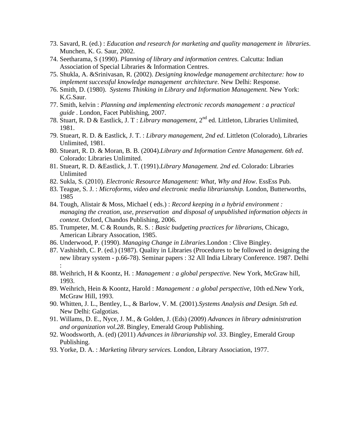- 73. Savard, R. (ed.) : *Education and research for marketing and quality management in libraries*. Munchen, K. G. Saur, 2002.
- 74. Seetharama, S (1990). *Planning of library and information centres.* Calcutta: Indian Association of Special Libraries & Information Centres.
- 75. Shukla, A. &Srinivasan, R. (2002). *Designing knowledge management architecture: how to implement successful knowledge management architecture*. New Delhi: Response.
- 76. Smith, D. (1980). *Systems Thinking in Library and Information Management.* New York: K.G.Saur.
- 77. Smith, kelvin : *Planning and implementing electronic records management : a practical guide* . London, Facet Publishing, 2007.
- 78. Stuart, R. D & Eastlick, J. T : *Library management,* 2 nd ed. Littleton, Libraries Unlimited, 1981.
- 79. Stueart, R. D. & Eastlick, J. T. : *Library management, 2nd ed*. Littleton (Colorado), Libraries Unlimited, 1981.
- 80. Stueart, R. D. & Moran, B. B. (2004).*Library and Information Centre Management. 6th ed*. Colorado: Libraries Unlimited.
- 81. Stueart, R. D. &Eastlick, J. T. (1991).*Library Management. 2nd ed*. Colorado: Libraries Unlimited
- 82. Sukla, S. (2010). *Electronic Resource Management: What, Why and How*. EssEss Pub.
- 83. Teague, S. J. : *Microforms, video and electronic media librarianship.* London, Butterworths, 1985
- 84. Tough, Alistair & Moss, Michael ( eds.) : *Record keeping in a hybrid environment : managing the creation, use, preservation and disposal of unpublished information objects in context*. Oxford, Chandos Publishing, 2006.
- 85. Trumpeter, M. C & Rounds, R. S. : *Basic budgeting practices for librarians,* Chicago, American Library Assocation, 1985.
- 86. Underwood, P. (1990). *Managing Change in Libraries*.London : Clive Bingley.
- 87. Vashishth, C. P. (ed.) (1987). Quality in Libraries (Procedures to be followed in designing the new library system - p.66-78). Seminar papers : 32 All India Library Conference. 1987. Delhi :
- 88. Weihrich, H & Koontz, H. : *Management : a global perspective.* New York, McGraw hill, 1993.
- 89. Weihrich, Hein & Koontz, Harold : *Management : a global perspective*, 10th ed.New York, McGraw Hill, 1993.
- 90. Whitten, J. L., Bentley, L., & Barlow, V. M. (2001).*Systems Analysis and Design. 5th ed*. New Delhi: Galgotias.
- 91. Willams, D. E., Nyce, J. M., & Golden, J. (Eds) (2009) *Advances in library administration and organization vol.28*. Bingley, Emerald Group Publishing.
- 92. Woodsworth, A. (ed) (2011) *Advances in librarianship vol. 33*. Bingley, Emerald Group Publishing.
- 93. Yorke, D. A. : *Marketing library services.* London, Library Association, 1977.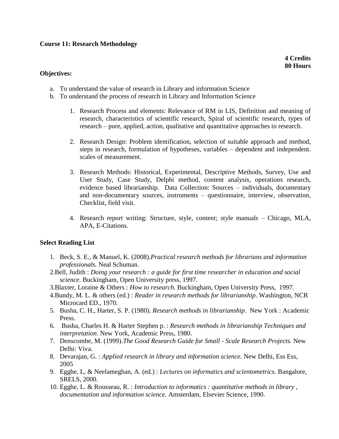# **Course 11: Research Methodology**

**4 Credits 80 Hours**

#### **Objectives:**

- a. To understand the value of research in Library and information Science
- b. To understand the process of research in Library and Information Science
	- 1. Research Process and elements: Relevance of RM in LIS, Definition and meaning of research, characteristics of scientific research, Spiral of scientific research, types of research – pure, applied, action, qualitative and quantitative approaches to research.
	- 2. Research Design: Problem identification, selection of suitable approach and method, steps in research, formulation of hypotheses, variables – dependent and independent. scales of measurement.
	- 3. Research Methods: Historical, Experimental, Descriptive Methods, Survey, Use and User Study, Case Study, Delphi method, content analysis, operations research, evidence based librarianship. Data Collection: Sources – individuals, documentary and non-documentary sources, instruments – questionnaire, interview, observation, Checklist, field visit.
	- 4. Research report writing: Structure, style, content; style manuals Chicago, MLA, APA, E-Citations.

- 1. Beck, S. E., & Manuel, K. (2008).*Practical research methods for librarians and information professionals.* Neal Schuman.
- 2.Bell, Judith : *Doing your research : a guide for first time researcher in education and social science*. Buckingham, Open University press, 1997.
- 3.Blaxter, Loraine & Others : *How to research.* Buckingham, Open University Press, 1997.
- 4.Bundy, M. L. & others (ed.) : *Reader in research methods for librarianship*. Washington, NCR Microcard ED., 1970.
- 5. Busha, C. H., Harter, S. P. (1980). *Research methods in librarianship*. New York : Academic Press.
- 6. Busha, Charles H. & Harter Stephen p. : *Research methods in librarianship Techniques and interpretation*. New York, Academic Press, 1980.
- 7. Denscombe, M. (1999).*The Good Research Guide for Small - Scale Research Projects.* New Delhi: Viva.
- 8. Devarajan, G. : *Applied research in library and information science.* New Delhi, Ess Ess, 2005
- 9. Egghe, L, & Neelameghan, A. (ed.) : *Lectures on informatics and scientometrics.* Bangalore, SRELS, 2000.
- 10. Egghe, L. & Rousseau, R. : *Introduction to informatics : quantitative methods in library , documentation and information science.* Amsterdam, Elsevier Science, 1990.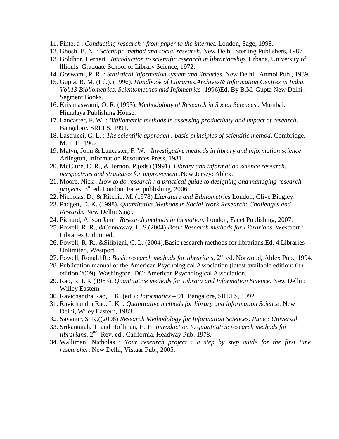- 11. Finte, a : *Conducting research : from paper to the internet.* London, Sage, 1998.
- 12. Ghosh, B. N. : *Scientific method and social research*. New Delhi, Sterling Publishers, 1987.
- 13. Goldhor, Hernert : *Introduction to scientific research in librarianship.* Urbana, University of lllionls. Graduate School of Library Science, 1972.
- 14. Goswami, P. R. : *Statistical information system and libraries.* New Delhi, Anmol Pub., 1989.
- 15. Gupta, B. M. (Ed.). (1996). *Handbook of Libraries.Archives& Information Centres in India. Vol.13 Bibliometrics, Scientometrics and Infometrics* (1996)Ed. By B.M. Gupta New Delhi : Segment Books.
- 16. Krishnaswami, O. R. (1993). *Methodology of Research in Social Sciences*.. Mumbai: Himalaya Publishing House.
- 17. Lancaster, F. W. : *Bibliometric methods in assessing productivity and impact of research*. Bangalore, SRELS, 1991.
- 18. Lastrucci, C. L. : *The scientific approach : basic principles of scientific method*. Combridge, M. I. T., 1967
- 19. Matyn, John & Lancaster, F. W. : *Investigative methods in library and information science*. Arlington, Information Resources Press, 1981.
- 20. McClure, C. R., &Hernon, P.(eds) (1991). *Library and information science research: perspectives and strategies for improvement* .New Jersey: Ablex.
- 21. Moore, Nick : *How to do research : a practical guide to designing and managing research projects*. 3rd ed. London, Facet publishing, 2006
- 22. Nicholas, D., & Ritchie, M. (1978) *Literature and Bibliometrics* London, Clive Bingley.
- 23. Padgett, D. K. (1998). *Quantitative Methods in Social Work Research: Challenges and Rewards.* New Delhi: Sage.
- 24. Pichard, Alison Jane : *Research methods in formation.* London, Facet Publishing, 2007.
- 25. Powell, R. R., &Connaway, L. S.(2004) *Basic Research methods for Librarians*. Westport : Libraries Unlimited.
- 26. Powell, R. R., &Silipigni, C. L. (2004).Basic research methods for librarians.Ed. 4.Libraries Unlimited, Westport.
- 27. Powell, Ronald R.: *Basic research methods for librarians*, 2<sup>nd</sup> ed. Norwood, Ablex Pub., 1994.
- 28. Publication manual of the American Psychological Association (latest available edition: 6th edition 2009). Washington, DC: American Psychological Association.
- 29. Rao, R. I. K (1983). *Quantitative methods for Library and Information Science.* New Delhi : Willey Eastern
- 30. Ravichandra Rao, I. K. (ed.) : *Informatics*  91. Bangalore, SRELS, 1992.
- 31. Ravichandra Rao, I. K. : *Quantitative methods for library and information Science*. New Delhi, Wiley Eastern, 1983.
- *32.* Savanur, S .K.((2008) *Research Methodology for Information Sciences. Pune : Universal*
- 33. Srikantaiah, T. and Hoffman, H. H. *Introduction to quantitative research methods for*  librarians, 2<sup>nd</sup> Rev. ed., California, Headway Pub. 1978.
- 34. Walliman, Nicholas : *Your research project : a step by step quide for the first time researcher*. New Delhi, Vistaar Pub., 2005.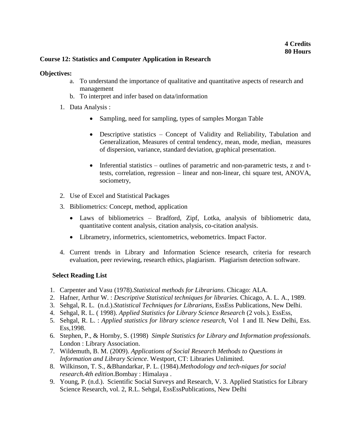# **Course 12: Statistics and Computer Application in Research**

#### **Objectives:**

- a. To understand the importance of qualitative and quantitative aspects of research and management
- b. To interpret and infer based on data/information
- 1. Data Analysis :
	- Sampling, need for sampling, types of samples Morgan Table
	- Descriptive statistics Concept of Validity and Reliability, Tabulation and Generalization, Measures of central tendency, mean, mode, median, measures of dispersion, variance, standard deviation, graphical presentation.
	- Inferential statistics outlines of parametric and non-parametric tests, z and ttests, correlation, regression – linear and non-linear, chi square test, ANOVA, sociometry,
- 2. Use of Excel and Statistical Packages
- 3. Bibliometrics: Concept, method, application
	- Laws of bibliometrics Bradford, Zipf, Lotka, analysis of bibliometric data, quantitative content analysis, citation analysis, co-citation analysis.
	- Librametry, informetrics, scientometrics, webometrics. Impact Factor.
- 4. Current trends in Library and Information Science research, criteria for research evaluation, peer reviewing, research ethics, plagiarism. Plagiarism detection software.

- 1. Carpenter and Vasu (1978).*Statistical methods for Librarians*. Chicago: ALA.
- 2. Hafner, Arthur W. : *Descriptive Statistical techniques for libraries.* Chicago, A. L. A., 1989.
- 3. Sehgal, R. L. (n.d.).*Statistical Techniques for Librarians*, EssEss Publications, New Delhi.
- 4. Sehgal, R. L. ( 1998). *Applied Statistics for Library Science Research* (2 vols.). EssEss,
- 5. Sehgal, R. L. : *Applied statistics for library science research,* Vol I and II. New Delhi, Ess. Ess,1998.
- 6. Stephen, P., & Hornby, S. (1998) *Simple Statistics for Library and Information professionals*. London : Library Association.
- 7. Wildemuth, B. M. (2009). *Applications of Social Research Methods to Questions in Information and Library Science*. Westport, CT: Libraries Unlimited.
- 8. Wilkinson, T. S., &Bhandarkar, P. L. (1984).*Methodology and tech-niques for social research.4th edition*.Bombay : Himalaya .
- 9. Young, P. (n.d.). Scientific Social Surveys and Research, V. 3. Applied Statistics for Library Science Research, vol. 2, R.L. Sehgal, EssEssPublications, New Delhi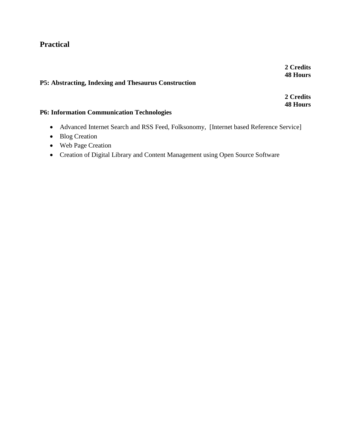# **Practical**

# **P5: Abstracting, Indexing and Thesaurus Construction**

**2 Credits 48 Hours**

# **P6: Information Communication Technologies**

- Advanced Internet Search and RSS Feed, Folksonomy, [Internet based Reference Service]
- Blog Creation
- Web Page Creation
- Creation of Digital Library and Content Management using Open Source Software

**2 Credits 48 Hours**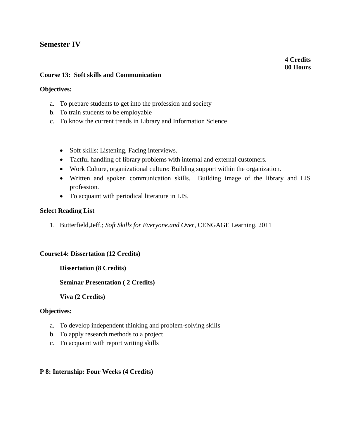# **Semester IV**

**4 Credits 80 Hours**

# **Course 13: Soft skills and Communication**

# **Objectives:**

- a. To prepare students to get into the profession and society
- b. To train students to be employable
- c. To know the current trends in Library and Information Science
	- Soft skills: Listening, Facing interviews.
	- Tactful handling of library problems with internal and external customers.
	- Work Culture, organizational culture: Building support within the organization.
	- Written and spoken communication skills. Building image of the library and LIS profession.
	- To acquaint with periodical literature in LIS.

## **Select Reading List**

1. Butterfield,Jeff.; *Soft Skills for Everyone.and Over*, CENGAGE Learning, 2011

## **Course14: Dissertation (12 Credits)**

## **Dissertation (8 Credits)**

## **Seminar Presentation ( 2 Credits)**

## **Viva (2 Credits)**

## **Objectives:**

- a. To develop independent thinking and problem-solving skills
- b. To apply research methods to a project
- c. To acquaint with report writing skills

## **P 8: Internship: Four Weeks (4 Credits)**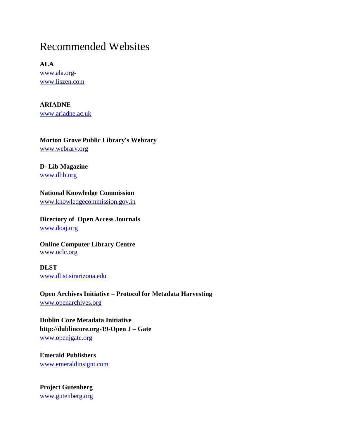# Recommended Websites

**ALA** [www.ala.org](http://www.ala.org/)[www.liszen.com](http://www.liszen.com/)

**ARIADNE** [www.ariadne.ac.uk](http://www.ariadne.ac.uk-/)

# **Morton Grove Public Library's Webrary**

[www.webrary.org](http://www.webrary.org/)

# **D- Lib Magazine**

[www.dlib.org](http://www.dlib.org-/)

# **National Knowledge Commission**

[www.knowledgecommission.gov.in](http://www.knowledgecommission.gov.in/)

# **Directory of Open Access Journals** [www.doaj.org](http://www.doaj.org-/)

# **Online Computer Library Centre**  [www.oclc.org](http://www.oclc.org/)

**DLST**  [www.dlist.sirarizona.edu](http://www.dlist.sirarizona.edu-/)

**Open Archives Initiative – Protocol for Metadata Harvesting** [www.openarchives.org](http://www.openarchives.org/)

**Dublin Core Metadata Initiative http://dublincore.org-19-Open J – Gate** [www.openjgate.org](http://www.openjgate.org/)

**Emerald Publishers** [www.emeraldinsignt.com](http://www.emeraldinsignt.com-/)

**Project Gutenberg** [www.gutenberg.org](http://www.gutenberg.org/)